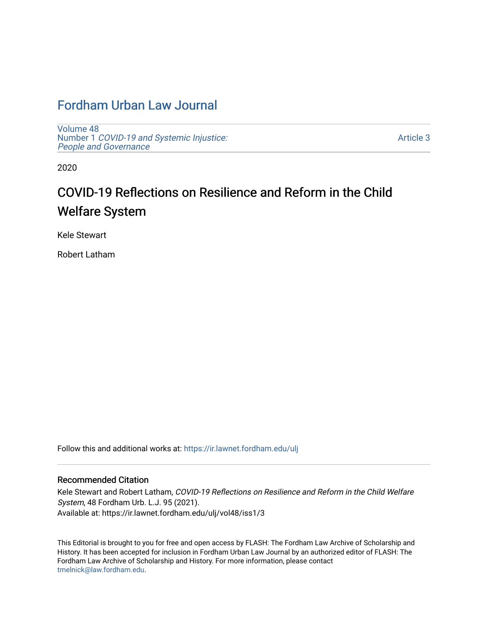# [Fordham Urban Law Journal](https://ir.lawnet.fordham.edu/ulj)

[Volume 48](https://ir.lawnet.fordham.edu/ulj/vol48) Number 1 [COVID-19 and Systemic Injustice:](https://ir.lawnet.fordham.edu/ulj/vol48/iss1) [People and Governance](https://ir.lawnet.fordham.edu/ulj/vol48/iss1) 

[Article 3](https://ir.lawnet.fordham.edu/ulj/vol48/iss1/3) 

2020

# COVID-19 Reflections on Resilience and Reform in the Child Welfare System

Kele Stewart

Robert Latham

Follow this and additional works at: [https://ir.lawnet.fordham.edu/ulj](https://ir.lawnet.fordham.edu/ulj?utm_source=ir.lawnet.fordham.edu%2Fulj%2Fvol48%2Fiss1%2F3&utm_medium=PDF&utm_campaign=PDFCoverPages) 

# Recommended Citation

Kele Stewart and Robert Latham, COVID-19 Reflections on Resilience and Reform in the Child Welfare System, 48 Fordham Urb. L.J. 95 (2021). Available at: https://ir.lawnet.fordham.edu/ulj/vol48/iss1/3

This Editorial is brought to you for free and open access by FLASH: The Fordham Law Archive of Scholarship and History. It has been accepted for inclusion in Fordham Urban Law Journal by an authorized editor of FLASH: The Fordham Law Archive of Scholarship and History. For more information, please contact [tmelnick@law.fordham.edu](mailto:tmelnick@law.fordham.edu).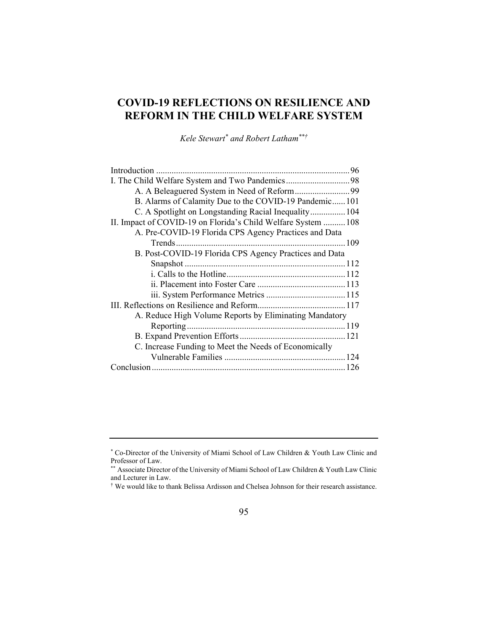# **COVID-19 REFLECTIONS ON RESILIENCE AND REFORM IN THE CHILD WELFARE SYSTEM**

*Kele Stewart\* and Robert Latham\*\*†*

| B. Alarms of Calamity Due to the COVID-19 Pandemic 101        |  |
|---------------------------------------------------------------|--|
| C. A Spotlight on Longstanding Racial Inequality 104          |  |
| II. Impact of COVID-19 on Florida's Child Welfare System  108 |  |
| A. Pre-COVID-19 Florida CPS Agency Practices and Data         |  |
|                                                               |  |
| B. Post-COVID-19 Florida CPS Agency Practices and Data        |  |
|                                                               |  |
|                                                               |  |
|                                                               |  |
|                                                               |  |
|                                                               |  |
| A. Reduce High Volume Reports by Eliminating Mandatory        |  |
|                                                               |  |
|                                                               |  |
| C. Increase Funding to Meet the Needs of Economically         |  |
|                                                               |  |
|                                                               |  |
|                                                               |  |

<sup>\*</sup> Co-Director of the University of Miami School of Law Children & Youth Law Clinic and Professor of Law.

<sup>\*\*</sup> Associate Director of the University of Miami School of Law Children & Youth Law Clinic and Lecturer in Law.

<sup>†</sup> We would like to thank Belissa Ardisson and Chelsea Johnson for their research assistance.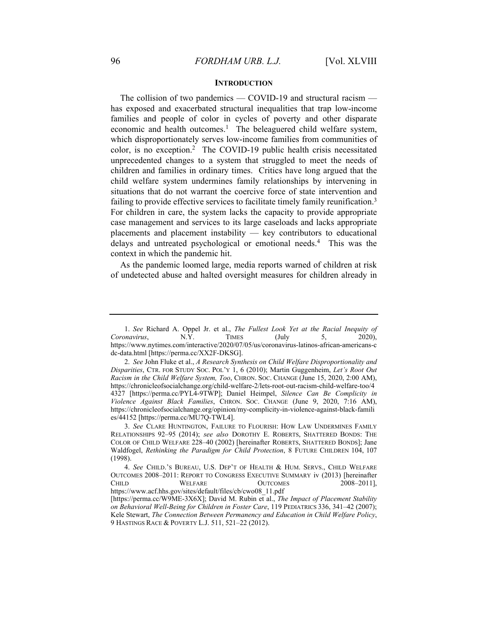#### **INTRODUCTION**

The collision of two pandemics — COVID-19 and structural racism has exposed and exacerbated structural inequalities that trap low-income families and people of color in cycles of poverty and other disparate economic and health outcomes.<sup>1</sup> The beleaguered child welfare system, which disproportionately serves low-income families from communities of color, is no exception.2 The COVID-19 public health crisis necessitated unprecedented changes to a system that struggled to meet the needs of children and families in ordinary times. Critics have long argued that the child welfare system undermines family relationships by intervening in situations that do not warrant the coercive force of state intervention and failing to provide effective services to facilitate timely family reunification.<sup>3</sup> For children in care, the system lacks the capacity to provide appropriate case management and services to its large caseloads and lacks appropriate placements and placement instability — key contributors to educational delays and untreated psychological or emotional needs.4 This was the context in which the pandemic hit.

As the pandemic loomed large, media reports warned of children at risk of undetected abuse and halted oversight measures for children already in

 <sup>1.</sup> *See* Richard A. Oppel Jr. et al., *The Fullest Look Yet at the Racial Inequity of Coronavirus*, N.Y. TIMES (July 5, 2020), https://www.nytimes.com/interactive/2020/07/05/us/coronavirus-latinos-african-americans-c dc-data.html [https://perma.cc/XX2F-DKSG].

<sup>2.</sup> *See* John Fluke et al., *A Research Synthesis on Child Welfare Disproportionality and Disparities*, CTR. FOR STUDY SOC. POL'Y 1, 6 (2010); Martin Guggenheim, *Let's Root Out Racism in the Child Welfare System, Too*, CHRON. SOC. CHANGE (June 15, 2020, 2:00 AM), https://chronicleofsocialchange.org/child-welfare-2/lets-root-out-racism-child-welfare-too/4 4327 [https://perma.cc/PYL4-9TWP]; Daniel Heimpel, *Silence Can Be Complicity in Violence Against Black Families*, CHRON. SOC. CHANGE (June 9, 2020, 7:16 AM), https://chronicleofsocialchange.org/opinion/my-complicity-in-violence-against-black-famili es/44152 [https://perma.cc/MU7Q-TWL4].

<sup>3.</sup> *See* CLARE HUNTINGTON, FAILURE TO FLOURISH: HOW LAW UNDERMINES FAMILY RELATIONSHIPS 92–95 (2014); *see also* DOROTHY E. ROBERTS, SHATTERED BONDS: THE COLOR OF CHILD WELFARE 228–40 (2002) [hereinafter ROBERTS, SHATTERED BONDS]; Jane Waldfogel, *Rethinking the Paradigm for Child Protection*, 8 FUTURE CHILDREN 104, 107 (1998).

<sup>4.</sup> *See* CHILD.'S BUREAU, U.S. DEP'T OF HEALTH & HUM. SERVS., CHILD WELFARE OUTCOMES 2008–2011: REPORT TO CONGRESS EXECUTIVE SUMMARY iv (2013) [hereinafter CHILD WELFARE OUTCOMES 2008–2011]. CHILD WELFARE OUTCOMES 2008-2011], https://www.acf.hhs.gov/sites/default/files/cb/cwo08\_11.pdf

<sup>[</sup>https://perma.cc/W9ME-3X6X]; David M. Rubin et al., *The Impact of Placement Stability on Behavioral Well-Being for Children in Foster Care*, 119 PEDIATRICS 336, 341–42 (2007); Kele Stewart, *The Connection Between Permanency and Education in Child Welfare Policy*, 9 HASTINGS RACE & POVERTY L.J. 511, 521–22 (2012).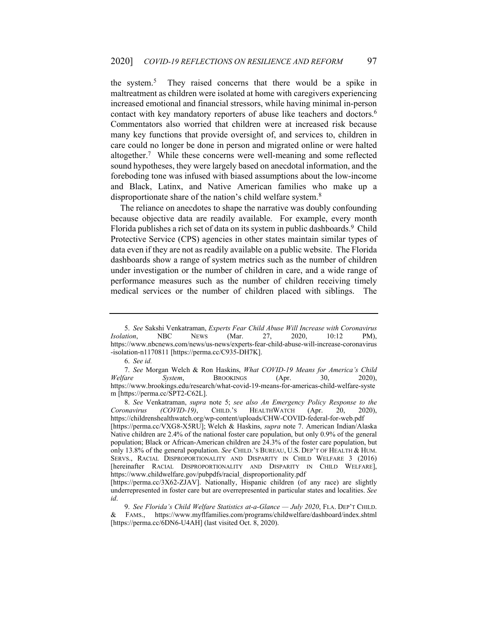the system.5 They raised concerns that there would be a spike in maltreatment as children were isolated at home with caregivers experiencing increased emotional and financial stressors, while having minimal in-person contact with key mandatory reporters of abuse like teachers and doctors.<sup>6</sup> Commentators also worried that children were at increased risk because many key functions that provide oversight of, and services to, children in care could no longer be done in person and migrated online or were halted altogether.7 While these concerns were well-meaning and some reflected sound hypotheses, they were largely based on anecdotal information, and the foreboding tone was infused with biased assumptions about the low-income and Black, Latinx, and Native American families who make up a disproportionate share of the nation's child welfare system.<sup>8</sup>

The reliance on anecdotes to shape the narrative was doubly confounding because objective data are readily available. For example, every month Florida publishes a rich set of data on its system in public dashboards.<sup>9</sup> Child Protective Service (CPS) agencies in other states maintain similar types of data even if they are not as readily available on a public website. The Florida dashboards show a range of system metrics such as the number of children under investigation or the number of children in care, and a wide range of performance measures such as the number of children receiving timely medical services or the number of children placed with siblings. The

8. *See* Venkatraman, *supra* note 5; *see also An Emergency Policy Response to the Coronavirus (COVID-19)*, CHILD.'S HEALTHWATCH (Apr. 20, 2020), https://childrenshealthwatch.org/wp-content/uploads/CHW-COVID-federal-for-web.pdf [https://perma.cc/VXG8-X5RU]; Welch & Haskins, *supra* note 7. American Indian/Alaska Native children are 2.4% of the national foster care population, but only 0.9% of the general population; Black or African-American children are 24.3% of the foster care population, but only 13.8% of the general population. *See* CHILD.'S BUREAU, U.S. DEP'T OF HEALTH & HUM. SERVS., RACIAL DISPROPORTIONALITY AND DISPARITY IN CHILD WELFARE 3 (2016) [hereinafter RACIAL DISPROPORTIONALITY AND DISPARITY IN CHILD WELFARE], https://www.childwelfare.gov/pubpdfs/racial\_disproportionality.pdf

<sup>5.</sup> *See* Sakshi Venkatraman, *Experts Fear Child Abuse Will Increase with Coronavirus Isolation*, NBC NEWS (Mar. 27, 2020, 10:12 PM), https://www.nbcnews.com/news/us-news/experts-fear-child-abuse-will-increase-coronavirus -isolation-n1170811 [https://perma.cc/C935-DH7K].

<sup>6.</sup> *See id.*

<sup>7.</sup> *See* Morgan Welch & Ron Haskins, *What COVID-19 Means for America's Child Welfare System*, BROOKINGS (Apr. 30, 2020), https://www.brookings.edu/research/what-covid-19-means-for-americas-child-welfare-syste m [https://perma.cc/SPT2-C62L].

<sup>[</sup>https://perma.cc/3X62-ZJAV]. Nationally, Hispanic children (of any race) are slightly underrepresented in foster care but are overrepresented in particular states and localities. *See id*.

<sup>9.</sup> *See Florida's Child Welfare Statistics at-a-Glance — July 2020*, FLA. DEP'T CHILD. & FAMS., https://www.myflfamilies.com/programs/childwelfare/dashboard/index.shtml [https://perma.cc/6DN6-U4AH] (last visited Oct. 8, 2020).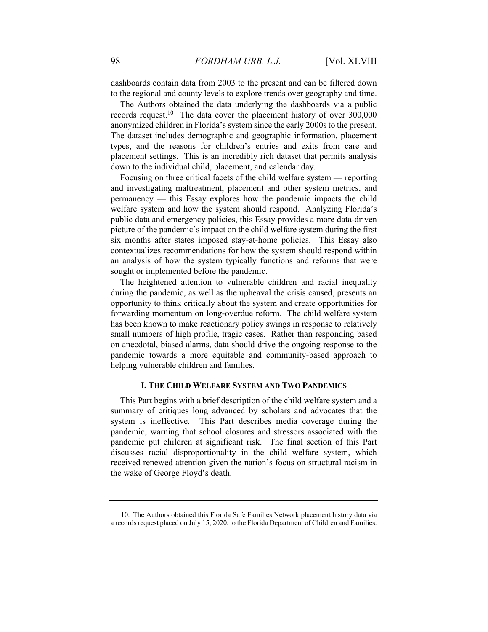dashboards contain data from 2003 to the present and can be filtered down to the regional and county levels to explore trends over geography and time.

The Authors obtained the data underlying the dashboards via a public records request.<sup>10</sup> The data cover the placement history of over  $300,000$ anonymized children in Florida's system since the early 2000s to the present. The dataset includes demographic and geographic information, placement types, and the reasons for children's entries and exits from care and placement settings. This is an incredibly rich dataset that permits analysis down to the individual child, placement, and calendar day.

Focusing on three critical facets of the child welfare system — reporting and investigating maltreatment, placement and other system metrics, and permanency — this Essay explores how the pandemic impacts the child welfare system and how the system should respond. Analyzing Florida's public data and emergency policies, this Essay provides a more data-driven picture of the pandemic's impact on the child welfare system during the first six months after states imposed stay-at-home policies. This Essay also contextualizes recommendations for how the system should respond within an analysis of how the system typically functions and reforms that were sought or implemented before the pandemic.

The heightened attention to vulnerable children and racial inequality during the pandemic, as well as the upheaval the crisis caused, presents an opportunity to think critically about the system and create opportunities for forwarding momentum on long-overdue reform. The child welfare system has been known to make reactionary policy swings in response to relatively small numbers of high profile, tragic cases. Rather than responding based on anecdotal, biased alarms, data should drive the ongoing response to the pandemic towards a more equitable and community-based approach to helping vulnerable children and families.

## **I. THE CHILD WELFARE SYSTEM AND TWO PANDEMICS**

This Part begins with a brief description of the child welfare system and a summary of critiques long advanced by scholars and advocates that the system is ineffective. This Part describes media coverage during the pandemic, warning that school closures and stressors associated with the pandemic put children at significant risk. The final section of this Part discusses racial disproportionality in the child welfare system, which received renewed attention given the nation's focus on structural racism in the wake of George Floyd's death.

 <sup>10.</sup> The Authors obtained this Florida Safe Families Network placement history data via a records request placed on July 15, 2020, to the Florida Department of Children and Families.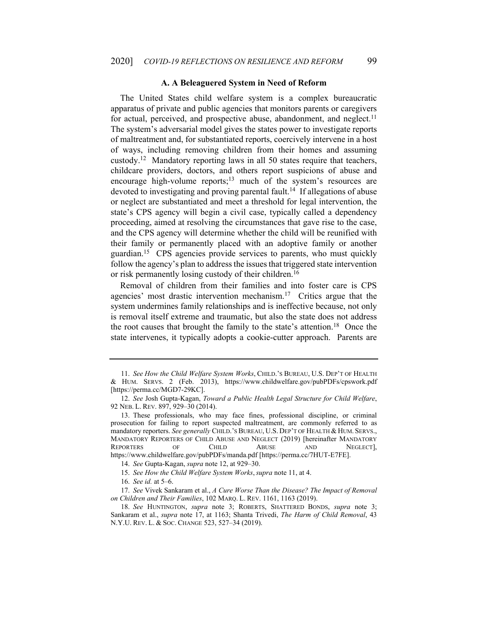#### **A. A Beleaguered System in Need of Reform**

The United States child welfare system is a complex bureaucratic apparatus of private and public agencies that monitors parents or caregivers for actual, perceived, and prospective abuse, abandonment, and neglect.<sup>11</sup> The system's adversarial model gives the states power to investigate reports of maltreatment and, for substantiated reports, coercively intervene in a host of ways, including removing children from their homes and assuming custody.12 Mandatory reporting laws in all 50 states require that teachers, childcare providers, doctors, and others report suspicions of abuse and encourage high-volume reports;<sup>13</sup> much of the system's resources are devoted to investigating and proving parental fault.<sup>14</sup> If allegations of abuse or neglect are substantiated and meet a threshold for legal intervention, the state's CPS agency will begin a civil case, typically called a dependency proceeding, aimed at resolving the circumstances that gave rise to the case, and the CPS agency will determine whether the child will be reunified with their family or permanently placed with an adoptive family or another guardian.15 CPS agencies provide services to parents, who must quickly follow the agency's plan to address the issues that triggered state intervention or risk permanently losing custody of their children.<sup>16</sup>

Removal of children from their families and into foster care is CPS agencies' most drastic intervention mechanism.<sup>17</sup> Critics argue that the system undermines family relationships and is ineffective because, not only is removal itself extreme and traumatic, but also the state does not address the root causes that brought the family to the state's attention.18 Once the state intervenes, it typically adopts a cookie-cutter approach. Parents are

14. *See* Gupta-Kagan, *supra* note 12, at 929–30.

<sup>11.</sup> *See How the Child Welfare System Works*, CHILD.'S BUREAU, U.S. DEP'T OF HEALTH & HUM. SERVS. 2 (Feb. 2013), https://www.childwelfare.gov/pubPDFs/cpswork.pdf [https://perma.cc/MGD7-29KC].

 <sup>12.</sup> *See* Josh Gupta-Kagan, *Toward a Public Health Legal Structure for Child Welfare*, 92 NEB. L. REV. 897, 929–30 (2014).

 <sup>13.</sup> These professionals, who may face fines, professional discipline, or criminal prosecution for failing to report suspected maltreatment, are commonly referred to as mandatory reporters. *See generally* CHILD.'S BUREAU, U.S. DEP'T OF HEALTH & HUM. SERVS., MANDATORY REPORTERS OF CHILD ABUSE AND NEGLECT (2019) [hereinafter MANDATORY<br>REPORTERS OF CHILD ABUSE AND NEGLECT]. OF CHILD ABUSE AND NEGLECT], https://www.childwelfare.gov/pubPDFs/manda.pdf [https://perma.cc/7HUT-E7FE].

<sup>15.</sup> *See How the Child Welfare System Works*, *supra* note 11, at 4.

<sup>16.</sup> *See id.* at 5–6.

<sup>17.</sup> *See* Vivek Sankaram et al., *A Cure Worse Than the Disease? The Impact of Removal on Children and Their Families*, 102 MARQ. L. REV. 1161, 1163 (2019).

<sup>18.</sup> *See* HUNTINGTON, *supra* note 3; ROBERTS, SHATTERED BONDS, *supra* note 3; Sankaram et al., *supra* note 17, at 1163; Shanta Trivedi, *The Harm of Child Removal*, 43 N.Y.U. REV. L. & SOC. CHANGE 523, 527–34 (2019).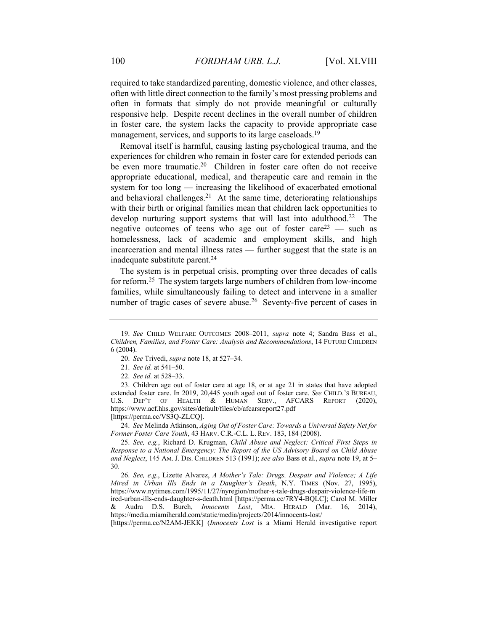required to take standardized parenting, domestic violence, and other classes, often with little direct connection to the family's most pressing problems and often in formats that simply do not provide meaningful or culturally responsive help. Despite recent declines in the overall number of children in foster care, the system lacks the capacity to provide appropriate case management, services, and supports to its large caseloads.<sup>19</sup>

Removal itself is harmful, causing lasting psychological trauma, and the experiences for children who remain in foster care for extended periods can be even more traumatic.<sup>20</sup> Children in foster care often do not receive appropriate educational, medical, and therapeutic care and remain in the system for too long — increasing the likelihood of exacerbated emotional and behavioral challenges.<sup>21</sup> At the same time, deteriorating relationships with their birth or original families mean that children lack opportunities to develop nurturing support systems that will last into adulthood.<sup>22</sup> The negative outcomes of teens who age out of foster care<sup>23</sup> — such as homelessness, lack of academic and employment skills, and high incarceration and mental illness rates — further suggest that the state is an inadequate substitute parent.<sup>24</sup>

The system is in perpetual crisis, prompting over three decades of calls for reform.25 The system targets large numbers of children from low-income families, while simultaneously failing to detect and intervene in a smaller number of tragic cases of severe abuse.<sup>26</sup> Seventy-five percent of cases in

24. *See* Melinda Atkinson, *Aging Out of Foster Care: Towards a Universal Safety Net for Former Foster Care Youth*, 43 HARV. C.R.-C.L. L. REV. 183, 184 (2008).

<sup>19.</sup> *See* CHILD WELFARE OUTCOMES 2008–2011, *supra* note 4; Sandra Bass et al., *Children, Families, and Foster Care: Analysis and Recommendations*, 14 FUTURE CHILDREN 6 (2004).

<sup>20.</sup> *See* Trivedi, *supra* note 18, at 527–34.

<sup>21.</sup> *See id.* at 541–50.

<sup>22.</sup> *See id.* at 528–33.

 <sup>23.</sup> Children age out of foster care at age 18, or at age 21 in states that have adopted extended foster care. In 2019, 20,445 youth aged out of foster care. *See* CHILD.'S BUREAU, U.S. DEP'T OF HEALTH & HUMAN SERV., AFCARS REPORT (2020), https://www.acf.hhs.gov/sites/default/files/cb/afcarsreport27.pdf [https://perma.cc/VS3Q-ZLCQ].

<sup>25.</sup> *See, e.g.*, Richard D. Krugman, *Child Abuse and Neglect: Critical First Steps in Response to a National Emergency: The Report of the US Advisory Board on Child Abuse and Neglect*, 145 AM. J. DIS. CHILDREN 513 (1991); *see also* Bass et al., *supra* note 19, at 5– 30.

<sup>26.</sup> *See, e.g*., Lizette Alvarez, *A Mother's Tale: Drugs, Despair and Violence; A Life Mired in Urban Ills Ends in a Daughter's Death*, N.Y. TIMES (Nov. 27, 1995), https://www.nytimes.com/1995/11/27/nyregion/mother-s-tale-drugs-despair-violence-life-m ired-urban-ills-ends-daughter-s-death.html [https://perma.cc/7RY4-BQLC]; Carol M. Miller & Audra D.S. Burch, *Innocents Lost*, MIA. HERALD (Mar. 16, 2014), https://media.miamiherald.com/static/media/projects/2014/innocents-lost/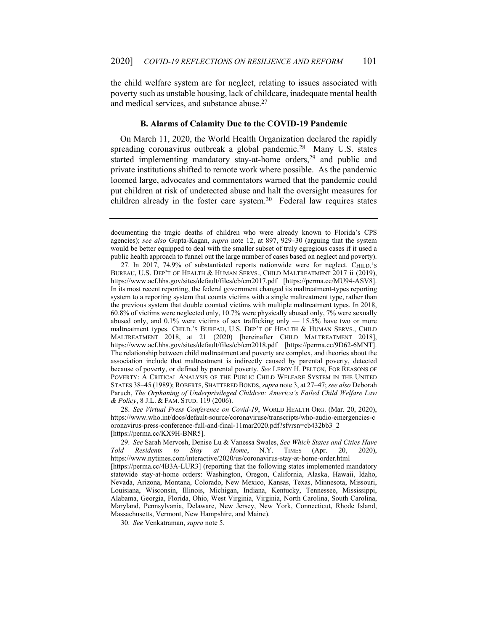the child welfare system are for neglect, relating to issues associated with poverty such as unstable housing, lack of childcare, inadequate mental health and medical services, and substance abuse.<sup>27</sup>

# **B. Alarms of Calamity Due to the COVID-19 Pandemic**

On March 11, 2020, the World Health Organization declared the rapidly spreading coronavirus outbreak a global pandemic.<sup>28</sup> Many U.S. states started implementing mandatory stay-at-home orders,<sup>29</sup> and public and private institutions shifted to remote work where possible. As the pandemic loomed large, advocates and commentators warned that the pandemic could put children at risk of undetected abuse and halt the oversight measures for children already in the foster care system. $30$  Federal law requires states

28. *See Virtual Press Conference on Covid-19*, WORLD HEALTH ORG. (Mar. 20, 2020), https://www.who.int/docs/default-source/coronaviruse/transcripts/who-audio-emergencies-c oronavirus-press-conference-full-and-final-11mar2020.pdf?sfvrsn=cb432bb3\_2 [https://perma.cc/KX9H-BNR5].

29. *See* Sarah Mervosh, Denise Lu & Vanessa Swales, *See Which States and Cities Have Told Residents to Stay at Home*, N.Y. TIMES (Apr. 20, 2020), https://www.nytimes.com/interactive/2020/us/coronavirus-stay-at-home-order.html [https://perma.cc/4B3A-LUR3] (reporting that the following states implemented mandatory statewide stay-at-home orders: Washington, Oregon, California, Alaska, Hawaii, Idaho, Nevada, Arizona, Montana, Colorado, New Mexico, Kansas, Texas, Minnesota, Missouri, Louisiana, Wisconsin, Illinois, Michigan, Indiana, Kentucky, Tennessee, Mississippi, Alabama, Georgia, Florida, Ohio, West Virginia, Virginia, North Carolina, South Carolina, Maryland, Pennsylvania, Delaware, New Jersey, New York, Connecticut, Rhode Island, Massachusetts, Vermont, New Hampshire, and Maine).

30. *See* Venkatraman, *supra* note 5.

documenting the tragic deaths of children who were already known to Florida's CPS agencies); *see also* Gupta-Kagan, *supra* note 12, at 897, 929–30 (arguing that the system would be better equipped to deal with the smaller subset of truly egregious cases if it used a public health approach to funnel out the large number of cases based on neglect and poverty).

 <sup>27.</sup> In 2017, 74.9% of substantiated reports nationwide were for neglect. CHILD.'S BUREAU, U.S. DEP'T OF HEALTH & HUMAN SERVS., CHILD MALTREATMENT 2017 ii (2019), https://www.acf.hhs.gov/sites/default/files/cb/cm2017.pdf [https://perma.cc/MU94-ASV8]. In its most recent reporting, the federal government changed its maltreatment-types reporting system to a reporting system that counts victims with a single maltreatment type, rather than the previous system that double counted victims with multiple maltreatment types. In 2018, 60.8% of victims were neglected only, 10.7% were physically abused only, 7% were sexually abused only, and  $0.1\%$  were victims of sex trafficking only  $- 15.5\%$  have two or more maltreatment types. CHILD.'S BUREAU, U.S. DEP'T OF HEALTH & HUMAN SERVS., CHILD MALTREATMENT 2018, at 21 (2020) [hereinafter CHILD MALTREATMENT 2018], https://www.acf.hhs.gov/sites/default/files/cb/cm2018.pdf [https://perma.cc/9D62-6MNT]. The relationship between child maltreatment and poverty are complex, and theories about the association include that maltreatment is indirectly caused by parental poverty, detected because of poverty, or defined by parental poverty. *See* LEROY H. PELTON, FOR REASONS OF POVERTY: A CRITICAL ANALYSIS OF THE PUBLIC CHILD WELFARE SYSTEM IN THE UNITED STATES 38–45 (1989); ROBERTS, SHATTERED BONDS, *supra* note 3, at 27–47; *see also* Deborah Paruch, *The Orphaning of Underprivileged Children: America's Failed Child Welfare Law & Policy*, 8 J.L. & FAM. STUD. 119 (2006).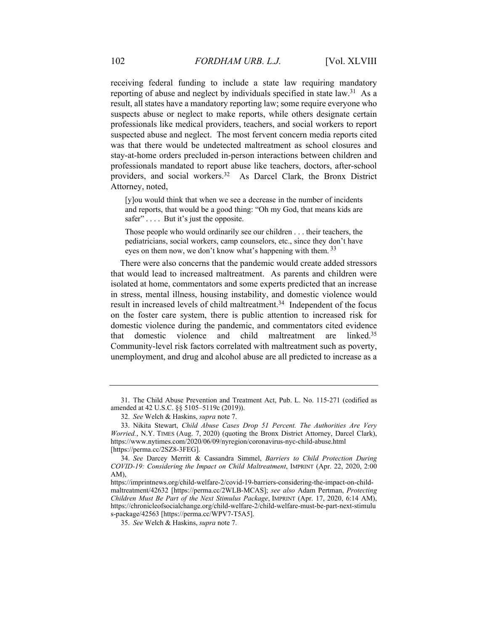receiving federal funding to include a state law requiring mandatory reporting of abuse and neglect by individuals specified in state law.<sup>31</sup> As a result, all states have a mandatory reporting law; some require everyone who suspects abuse or neglect to make reports, while others designate certain professionals like medical providers, teachers, and social workers to report suspected abuse and neglect. The most fervent concern media reports cited was that there would be undetected maltreatment as school closures and stay-at-home orders precluded in-person interactions between children and professionals mandated to report abuse like teachers, doctors, after-school providers, and social workers.<sup>32</sup> As Darcel Clark, the Bronx District Attorney, noted,

[y]ou would think that when we see a decrease in the number of incidents and reports, that would be a good thing: "Oh my God, that means kids are safer" . . . . But it's just the opposite.

Those people who would ordinarily see our children . . . their teachers, the pediatricians, social workers, camp counselors, etc., since they don't have eyes on them now, we don't know what's happening with them.<sup>33</sup>

There were also concerns that the pandemic would create added stressors that would lead to increased maltreatment. As parents and children were isolated at home, commentators and some experts predicted that an increase in stress, mental illness, housing instability, and domestic violence would result in increased levels of child maltreatment.<sup>34</sup> Independent of the focus on the foster care system, there is public attention to increased risk for domestic violence during the pandemic, and commentators cited evidence that domestic violence and child maltreatment are linked.35 Community-level risk factors correlated with maltreatment such as poverty, unemployment, and drug and alcohol abuse are all predicted to increase as a

 <sup>31.</sup> The Child Abuse Prevention and Treatment Act, Pub. L. No. 115-271 (codified as amended at 42 U.S.C. §§ 5105–5119c (2019)).

<sup>32.</sup> *See* Welch & Haskins, *supra* note 7.

 <sup>33.</sup> Nikita Stewart, *Child Abuse Cases Drop 51 Percent. The Authorities Are Very Worried.*, N.Y. TIMES (Aug. 7, 2020) (quoting the Bronx District Attorney, Darcel Clark), https://www.nytimes.com/2020/06/09/nyregion/coronavirus-nyc-child-abuse.html [https://perma.cc/2SZ8-3FEG].

<sup>34.</sup> *See* Darcey Merritt & Cassandra Simmel, *Barriers to Child Protection During COVID-19: Considering the Impact on Child Maltreatment*, IMPRINT (Apr. 22, 2020, 2:00 AM),

https://imprintnews.org/child-welfare-2/covid-19-barriers-considering-the-impact-on-childmaltreatment/42632 [https://perma.cc/2WLB-MCAS]; *see also* Adam Pertman, *Protecting Children Must Be Part of the Next Stimulus Package*, IMPRINT (Apr. 17, 2020, 6:14 AM), https://chronicleofsocialchange.org/child-welfare-2/child-welfare-must-be-part-next-stimulu s-package/42563 [https://perma.cc/WPV7-T5A5].

<sup>35.</sup> *See* Welch & Haskins, *supra* note 7.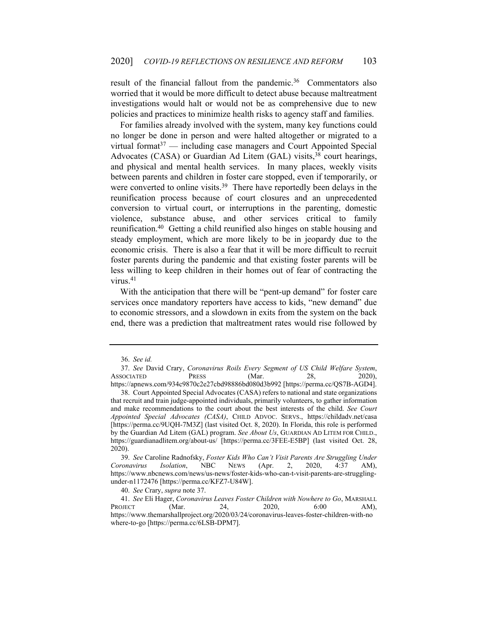result of the financial fallout from the pandemic.<sup>36</sup> Commentators also worried that it would be more difficult to detect abuse because maltreatment investigations would halt or would not be as comprehensive due to new policies and practices to minimize health risks to agency staff and families.

For families already involved with the system, many key functions could no longer be done in person and were halted altogether or migrated to a virtual format<sup>37</sup> — including case managers and Court Appointed Special Advocates (CASA) or Guardian Ad Litem (GAL) visits,<sup>38</sup> court hearings, and physical and mental health services. In many places, weekly visits between parents and children in foster care stopped, even if temporarily, or were converted to online visits.<sup>39</sup> There have reportedly been delays in the reunification process because of court closures and an unprecedented conversion to virtual court, or interruptions in the parenting, domestic violence, substance abuse, and other services critical to family reunification.40 Getting a child reunified also hinges on stable housing and steady employment, which are more likely to be in jeopardy due to the economic crisis. There is also a fear that it will be more difficult to recruit foster parents during the pandemic and that existing foster parents will be less willing to keep children in their homes out of fear of contracting the virus.41

With the anticipation that there will be "pent-up demand" for foster care services once mandatory reporters have access to kids, "new demand" due to economic stressors, and a slowdown in exits from the system on the back end, there was a prediction that maltreatment rates would rise followed by

<sup>36.</sup> *See id.*

<sup>37.</sup> *See* David Crary, *Coronavirus Roils Every Segment of US Child Welfare System*, ASSOCIATED PRESS (Mar. 28, https://apnews.com/934c9870c2e27cbd98886bd080d3b992 [https://perma.cc/QS7B-AGD4].

 <sup>38.</sup> Court Appointed Special Advocates (CASA) refers to national and state organizations that recruit and train judge-appointed individuals, primarily volunteers, to gather information and make recommendations to the court about the best interests of the child. *See Court Appointed Special Advocates (CASA)*, CHILD ADVOC. SERVS., https://childadv.net/casa [https://perma.cc/9UQH-7M3Z] (last visited Oct. 8, 2020). In Florida, this role is performed by the Guardian Ad Litem (GAL) program. *See About Us*, GUARDIAN AD LITEM FOR CHILD., https://guardianadlitem.org/about-us/ [https://perma.cc/3FEE-E5BP] (last visited Oct. 28, 2020).

<sup>39.</sup> *See* Caroline Radnofsky, *Foster Kids Who Can't Visit Parents Are Struggling Under Coronavirus Isolation*, NBC NEWS (Apr. 2, 2020, 4:37 AM), https://www.nbcnews.com/news/us-news/foster-kids-who-can-t-visit-parents-are-strugglingunder-n1172476 [https://perma.cc/KFZ7-U84W].

<sup>40.</sup> *See* Crary, *supra* note 37.

<sup>41.</sup> *See* Eli Hager, *Coronavirus Leaves Foster Children with Nowhere to Go*, MARSHALL PROJECT (Mar. 24, 2020, 6:00 AM), https://www.themarshallproject.org/2020/03/24/coronavirus-leaves-foster-children-with-no where-to-go [https://perma.cc/6LSB-DPM7].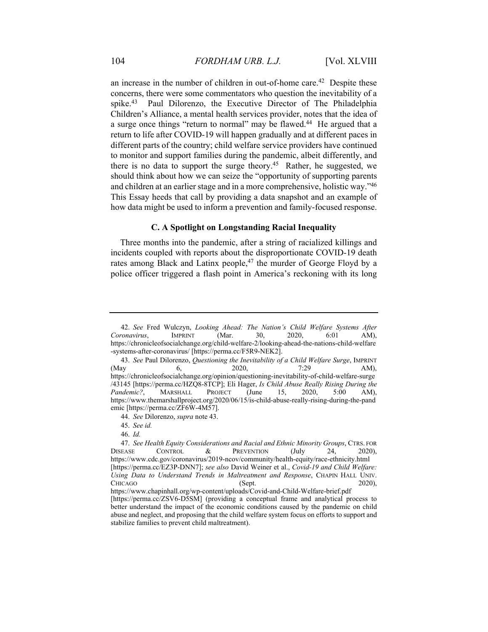an increase in the number of children in out-of-home care.<sup>42</sup> Despite these concerns, there were some commentators who question the inevitability of a spike.<sup>43</sup> Paul Dilorenzo, the Executive Director of The Philadelphia Children's Alliance, a mental health services provider, notes that the idea of a surge once things "return to normal" may be flawed.<sup>44</sup> He argued that a return to life after COVID-19 will happen gradually and at different paces in different parts of the country; child welfare service providers have continued to monitor and support families during the pandemic, albeit differently, and there is no data to support the surge theory.<sup>45</sup> Rather, he suggested, we should think about how we can seize the "opportunity of supporting parents and children at an earlier stage and in a more comprehensive, holistic way."46 This Essay heeds that call by providing a data snapshot and an example of how data might be used to inform a prevention and family-focused response.

#### **C. A Spotlight on Longstanding Racial Inequality**

Three months into the pandemic, after a string of racialized killings and incidents coupled with reports about the disproportionate COVID-19 death rates among Black and Latinx people,<sup>47</sup> the murder of George Floyd by a police officer triggered a flash point in America's reckoning with its long

44. *See* Dilorenzo, *supra* note 43.

46. *Id.*

<sup>42.</sup> *See* Fred Wulczyn, *Looking Ahead: The Nation's Child Welfare Systems After Coronavirus*, IMPRINT (Mar. 30, 2020, 6:01 AM), https://chronicleofsocialchange.org/child-welfare-2/looking-ahead-the-nations-child-welfare -systems-after-coronavirus/ [https://perma.cc/F5R9-NEK2].

<sup>43.</sup> *See* Paul Dilorenzo, *Questioning the Inevitability of a Child Welfare Surge*, IMPRINT (May 6, 2020, 7:29 AM), https://chronicleofsocialchange.org/opinion/questioning-inevitability-of-child-welfare-surge /43145 [https://perma.cc/HZQ8-8TCP]; Eli Hager, *Is Child Abuse Really Rising During the*  Pandemic?, MARSHALL PROJECT (June 15, 2020, 5:00 AM), https://www.themarshallproject.org/2020/06/15/is-child-abuse-really-rising-during-the-pand emic [https://perma.cc/ZF6W-4M57].

<sup>45.</sup> *See id.*

<sup>47.</sup> *See Health Equity Considerations and Racial and Ethnic Minority Groups*, CTRS. FOR DISEASE CONTROL & PREVENTION (July 24, 2020), https://www.cdc.gov/coronavirus/2019-ncov/community/health-equity/race-ethnicity.html [https://perma.cc/EZ3P-DNN7]; *see also* David Weiner et al., *Covid-19 and Child Welfare:*  Using Data to Understand Trends in Maltreatment and Response, CHAPIN HALL UNIV. CHICAGO (Sept. 2020), https://www.chapinhall.org/wp-content/uploads/Covid-and-Child-Welfare-brief.pdf

<sup>[</sup>https://perma.cc/ZSV6-D5SM] (providing a conceptual frame and analytical process to better understand the impact of the economic conditions caused by the pandemic on child abuse and neglect, and proposing that the child welfare system focus on efforts to support and stabilize families to prevent child maltreatment).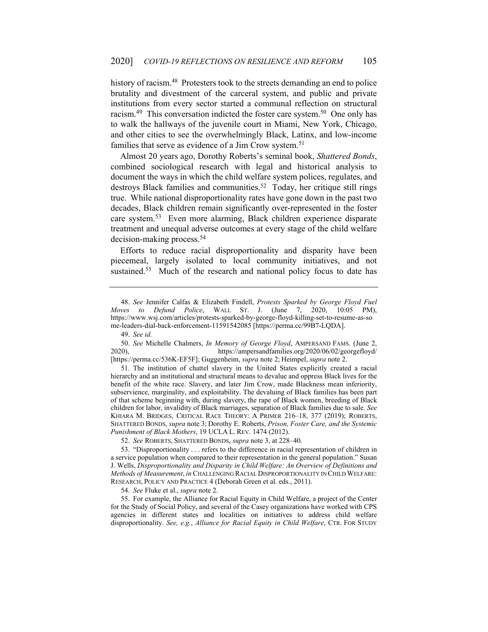history of racism.<sup>48</sup> Protesters took to the streets demanding an end to police brutality and divestment of the carceral system, and public and private institutions from every sector started a communal reflection on structural racism.<sup>49</sup> This conversation indicted the foster care system.<sup>50</sup> One only has to walk the hallways of the juvenile court in Miami, New York, Chicago, and other cities to see the overwhelmingly Black, Latinx, and low-income families that serve as evidence of a Jim Crow system.<sup>51</sup>

Almost 20 years ago, Dorothy Roberts's seminal book, *Shattered Bonds*, combined sociological research with legal and historical analysis to document the ways in which the child welfare system polices, regulates, and destroys Black families and communities.<sup>52</sup> Today, her critique still rings true. While national disproportionality rates have gone down in the past two decades, Black children remain significantly over-represented in the foster care system.53 Even more alarming, Black children experience disparate treatment and unequal adverse outcomes at every stage of the child welfare decision-making process.54

Efforts to reduce racial disproportionality and disparity have been piecemeal, largely isolated to local community initiatives, and not sustained.<sup>55</sup> Much of the research and national policy focus to date has

49. *See id.*

 51. The institution of chattel slavery in the United States explicitly created a racial hierarchy and an institutional and structural means to devalue and oppress Black lives for the benefit of the white race. Slavery, and later Jim Crow, made Blackness mean inferiority, subservience, marginality, and exploitability. The devaluing of Black families has been part of that scheme beginning with, during slavery, the rape of Black women, breeding of Black children for labor, invalidity of Black marriages, separation of Black families due to sale. *See*  KHIARA M. BRIDGES, CRITICAL RACE THEORY: A PRIMER 216–18, 377 (2019); ROBERTS, SHATTERED BONDS, *supra* note 3; Dorothy E. Roberts, *Prison, Foster Care, and the Systemic Punishment of Black Mothers*, 19 UCLA L. REV. 1474 (2012).

52. *See* ROBERTS, SHATTERED BONDS, *supra* note 3, at 228–40.

54. *See* Fluke et al., *supra* note 2.

 55. For example, the Alliance for Racial Equity in Child Welfare, a project of the Center for the Study of Social Policy, and several of the Casey organizations have worked with CPS agencies in different states and localities on initiatives to address child welfare disproportionality. *See, e.g.*, *Alliance for Racial Equity in Child Welfare*, CTR. FOR STUDY

<sup>48.</sup> *See* Jennifer Calfas & Elizabeth Findell, *Protests Sparked by George Floyd Fuel Moves to Defund Police*, WALL ST. J. (June 7, 2020, 10:05 PM), https://www.wsj.com/articles/protests-sparked-by-george-floyd-killing-set-to-resume-as-so me-leaders-dial-back-enforcement-11591542085 [https://perma.cc/99B7-LQDA].

<sup>50.</sup> *See* Michelle Chalmers, *In Memory of George Floyd*, AMPERSAND FAMS. (June 2, 2020), https://ampersandfamilies.org/2020/06/02/georgefloyd/ [https://perma.cc/536K-EF5F]; Guggenheim, *supra* note 2; Heimpel, *supra* note 2.

 <sup>53. &</sup>quot;Disproportionality . . . refers to the difference in racial representation of children in a service population when compared to their representation in the general population." Susan J. Wells, *Disproportionality and Disparity in Child Welfare: An Overview of Definitions and Methods of Measurement*, *in* CHALLENGING RACIAL DISPROPORTIONALITY IN CHILD WELFARE: RESEARCH, POLICY AND PRACTICE 4 (Deborah Green et al. eds., 2011).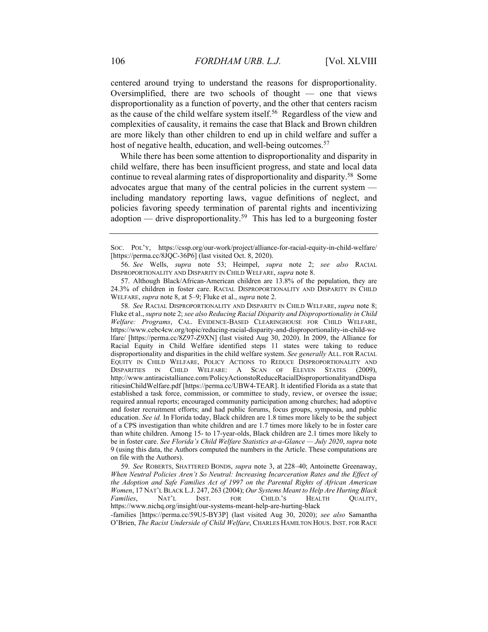centered around trying to understand the reasons for disproportionality. Oversimplified, there are two schools of thought — one that views disproportionality as a function of poverty, and the other that centers racism as the cause of the child welfare system itself.<sup>56</sup> Regardless of the view and complexities of causality, it remains the case that Black and Brown children are more likely than other children to end up in child welfare and suffer a host of negative health, education, and well-being outcomes.<sup>57</sup>

While there has been some attention to disproportionality and disparity in child welfare, there has been insufficient progress, and state and local data continue to reveal alarming rates of disproportionality and disparity.58 Some advocates argue that many of the central policies in the current system including mandatory reporting laws, vague definitions of neglect, and policies favoring speedy termination of parental rights and incentivizing adoption — drive disproportionality.<sup>59</sup> This has led to a burgeoning foster

 57. Although Black/African-American children are 13.8% of the population, they are 24.3% of children in foster care. RACIAL DISPROPORTIONALITY AND DISPARITY IN CHILD WELFARE, *supra* note 8, at 5–9; Fluke et al., *supra* note 2.

58. *See* RACIAL DISPROPORTIONALITY AND DISPARITY IN CHILD WELFARE, *supra* note 8; Fluke et al., *supra* note 2; *see also Reducing Racial Disparity and Disproportionality in Child Welfare: Programs*, CAL. EVIDENCE-BASED CLEARINGHOUSE FOR CHILD WELFARE, https://www.cebc4cw.org/topic/reducing-racial-disparity-and-disproportionality-in-child-we lfare/ [https://perma.cc/8Z97-Z9XN] (last visited Aug 30, 2020). In 2009, the Alliance for Racial Equity in Child Welfare identified steps 11 states were taking to reduce disproportionality and disparities in the child welfare system. *See generally* ALL. FOR RACIAL EQUITY IN CHILD WELFARE, POLICY ACTIONS TO REDUCE DISPROPORTIONALITY AND DISPARITIES IN CHILD WELFARE: A SCAN OF ELEVEN STATES (2009), http://www.antiracistalliance.com/PolicyActionstoReduceRacialDisproportionalityandDispa ritiesinChildWelfare.pdf [https://perma.cc/UBW4-TEAR]. It identified Florida as a state that established a task force, commission, or committee to study, review, or oversee the issue; required annual reports; encouraged community participation among churches; had adoptive and foster recruitment efforts; and had public forums, focus groups, symposia, and public education. *See id.* In Florida today, Black children are 1.8 times more likely to be the subject of a CPS investigation than white children and are 1.7 times more likely to be in foster care than white children. Among 15- to 17-year-olds, Black children are 2.1 times more likely to be in foster care. *See Florida's Child Welfare Statistics at-a-Glance — July 2020*, *supra* note 9 (using this data, the Authors computed the numbers in the Article. These computations are on file with the Authors).

59. *See* ROBERTS, SHATTERED BONDS, *supra* note 3, at 228–40; Antoinette Greenaway, *When Neutral Policies Aren't So Neutral: Increasing Incarceration Rates and the Effect of the Adoption and Safe Families Act of 1997 on the Parental Rights of African American Women*, 17 NAT'L BLACK L.J. 247, 263 (2004); *Our Systems Meant to Help Are Hurting Black Families*, NAT'L INST. FOR CHILD.'S HEALTH QUALITY, https://www.nichq.org/insight/our-systems-meant-help-are-hurting-black

-families [https://perma.cc/59U5-BY3P] (last visited Aug 30, 2020); *see also* Samantha O'Brien, *The Racist Underside of Child Welfare*, CHARLES HAMILTON HOUS. INST. FOR RACE

SOC. POL'Y, https://cssp.org/our-work/project/alliance-for-racial-equity-in-child-welfare/ [https://perma.cc/8JQC-36P6] (last visited Oct. 8, 2020).

<sup>56.</sup> *See* Wells, *supra* note 53; Heimpel, *supra* note 2; *see also* RACIAL DISPROPORTIONALITY AND DISPARITY IN CHILD WELFARE, *supra* note 8.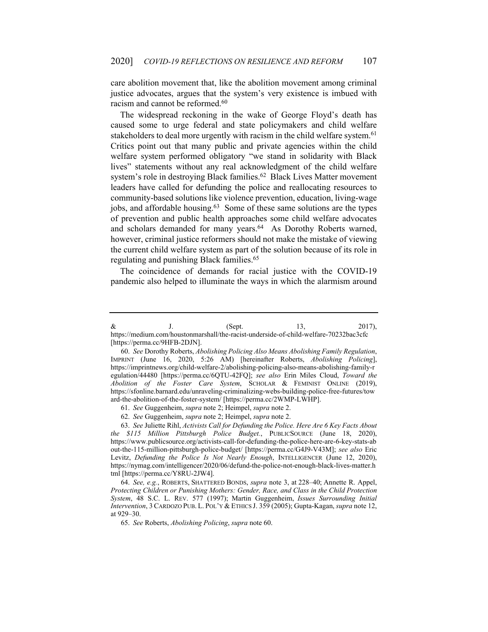care abolition movement that, like the abolition movement among criminal justice advocates, argues that the system's very existence is imbued with racism and cannot be reformed.<sup>60</sup>

The widespread reckoning in the wake of George Floyd's death has caused some to urge federal and state policymakers and child welfare stakeholders to deal more urgently with racism in the child welfare system.<sup>61</sup> Critics point out that many public and private agencies within the child welfare system performed obligatory "we stand in solidarity with Black lives" statements without any real acknowledgment of the child welfare system's role in destroying Black families.<sup>62</sup> Black Lives Matter movement leaders have called for defunding the police and reallocating resources to community-based solutions like violence prevention, education, living-wage jobs, and affordable housing.<sup>63</sup> Some of these same solutions are the types of prevention and public health approaches some child welfare advocates and scholars demanded for many years.<sup>64</sup> As Dorothy Roberts warned, however, criminal justice reformers should not make the mistake of viewing the current child welfare system as part of the solution because of its role in regulating and punishing Black families.<sup>65</sup>

The coincidence of demands for racial justice with the COVID-19 pandemic also helped to illuminate the ways in which the alarmism around

61. *See* Guggenheim, *supra* note 2; Heimpel, *supra* note 2.

62. *See* Guggenheim, *supra* note 2; Heimpel, *supra* note 2.

63. *See* Juliette Rihl, *Activists Call for Defunding the Police. Here Are 6 Key Facts About the \$115 Million Pittsburgh Police Budget.*, PUBLICSOURCE (June 18, 2020), https://www.publicsource.org/activists-call-for-defunding-the-police-here-are-6-key-stats-ab out-the-115-million-pittsburgh-police-budget/ [https://perma.cc/G4J9-V43M]; *see also* Eric Levitz, *Defunding the Police Is Not Nearly Enough*, INTELLIGENCER (June 12, 2020), https://nymag.com/intelligencer/2020/06/defund-the-police-not-enough-black-lives-matter.h tml [https://perma.cc/Y8RU-2JW4].

64. *See, e.g.*, ROBERTS, SHATTERED BONDS, *supra* note 3, at 228–40; Annette R. Appel, *Protecting Children or Punishing Mothers: Gender, Race, and Class in the Child Protection System*, 48 S.C. L. REV. 577 (1997); Martin Guggenheim, *Issues Surrounding Initial Intervention*, 3CARDOZO PUB. L. POL'Y & ETHICS J. 359 (2005); Gupta-Kagan, *supra* note 12, at 929–30.

 $\&$  J. (Sept. 13, 2017), https://medium.com/houstonmarshall/the-racist-underside-of-child-welfare-70232bac3cfc [https://perma.cc/9HFB-2DJN].

<sup>60.</sup> *See* Dorothy Roberts, *Abolishing Policing Also Means Abolishing Family Regulation*, IMPRINT (June 16, 2020, 5:26 AM) [hereinafter Roberts, *Abolishing Policing*], https://imprintnews.org/child-welfare-2/abolishing-policing-also-means-abolishing-family-r egulation/44480 [https://perma.cc/6QTU-42FQ]; *see also* Erin Miles Cloud, *Toward the Abolition of the Foster Care System*, SCHOLAR & FEMINIST ONLINE (2019), https://sfonline.barnard.edu/unraveling-criminalizing-webs-building-police-free-futures/tow ard-the-abolition-of-the-foster-system/ [https://perma.cc/2WMP-LWHP].

<sup>65.</sup> *See* Roberts, *Abolishing Policing*, *supra* note 60.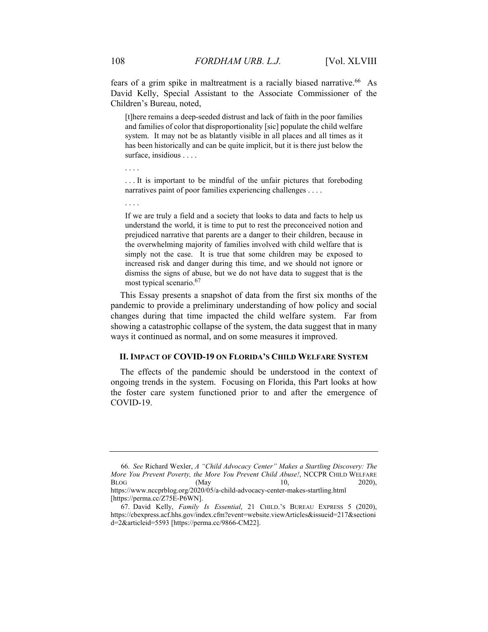fears of a grim spike in maltreatment is a racially biased narrative.<sup>66</sup> As David Kelly, Special Assistant to the Associate Commissioner of the Children's Bureau, noted,

[t]here remains a deep-seeded distrust and lack of faith in the poor families and families of color that disproportionality [sic] populate the child welfare system. It may not be as blatantly visible in all places and all times as it has been historically and can be quite implicit, but it is there just below the surface, insidious . . . .

. . . It is important to be mindful of the unfair pictures that foreboding narratives paint of poor families experiencing challenges . . . .

If we are truly a field and a society that looks to data and facts to help us understand the world, it is time to put to rest the preconceived notion and prejudiced narrative that parents are a danger to their children, because in the overwhelming majority of families involved with child welfare that is simply not the case. It is true that some children may be exposed to increased risk and danger during this time, and we should not ignore or dismiss the signs of abuse, but we do not have data to suggest that is the most typical scenario.<sup>67</sup>

This Essay presents a snapshot of data from the first six months of the pandemic to provide a preliminary understanding of how policy and social changes during that time impacted the child welfare system. Far from showing a catastrophic collapse of the system, the data suggest that in many ways it continued as normal, and on some measures it improved.

#### **II. IMPACT OF COVID-19 ON FLORIDA'S CHILD WELFARE SYSTEM**

The effects of the pandemic should be understood in the context of ongoing trends in the system. Focusing on Florida, this Part looks at how the foster care system functioned prior to and after the emergence of COVID-19.

. . . .

. . . .

<sup>66.</sup> *See* Richard Wexler, *A "Child Advocacy Center" Makes a Startling Discovery: The More You Prevent Poverty, the More You Prevent Child Abuse!*, NCCPR CHILD WELFARE  $BLOG$  (May  $10,$  2020), https://www.nccprblog.org/2020/05/a-child-advocacy-center-makes-startling.html [https://perma.cc/Z75E-P6WN].

 <sup>67.</sup> David Kelly, *Family Is Essential*, 21 CHILD.'S BUREAU EXPRESS 5 (2020), https://cbexpress.acf.hhs.gov/index.cfm?event=website.viewArticles&issueid=217&sectioni d=2&articleid=5593 [https://perma.cc/9866-CM22].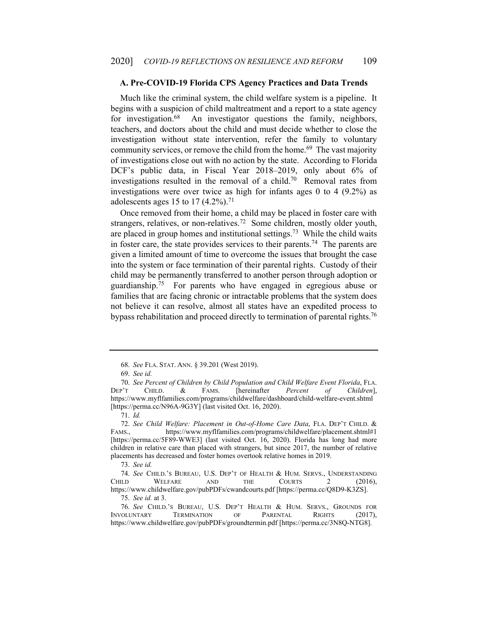#### **A. Pre-COVID-19 Florida CPS Agency Practices and Data Trends**

Much like the criminal system, the child welfare system is a pipeline. It begins with a suspicion of child maltreatment and a report to a state agency for investigation.<sup>68</sup> An investigator questions the family, neighbors, teachers, and doctors about the child and must decide whether to close the investigation without state intervention, refer the family to voluntary community services, or remove the child from the home.<sup>69</sup> The vast majority of investigations close out with no action by the state. According to Florida DCF's public data, in Fiscal Year 2018–2019, only about 6% of investigations resulted in the removal of a child.<sup>70</sup> Removal rates from investigations were over twice as high for infants ages 0 to 4 (9.2%) as adolescents ages 15 to 17  $(4.2\%)$ .<sup>71</sup>

Once removed from their home, a child may be placed in foster care with strangers, relatives, or non-relatives.72 Some children, mostly older youth, are placed in group homes and institutional settings.73 While the child waits in foster care, the state provides services to their parents.<sup>74</sup> The parents are given a limited amount of time to overcome the issues that brought the case into the system or face termination of their parental rights. Custody of their child may be permanently transferred to another person through adoption or guardianship.75 For parents who have engaged in egregious abuse or families that are facing chronic or intractable problems that the system does not believe it can resolve, almost all states have an expedited process to bypass rehabilitation and proceed directly to termination of parental rights.<sup>76</sup>

 <sup>68.</sup> *See* FLA. STAT. ANN. § 39.201 (West 2019).

<sup>69.</sup> *See id.*

<sup>70.</sup> *See Percent of Children by Child Population and Child Welfare Event Florida*, FLA. CHILD. & FAMS. [hereinafter *Percent of Children*], https://www.myflfamilies.com/programs/childwelfare/dashboard/child-welfare-event.shtml [https://perma.cc/N96A-9G3Y] (last visited Oct. 16, 2020).

<sup>71.</sup> *Id.*

<sup>72.</sup> *See Child Welfare: Placement in Out-of-Home Care Data*, FLA. DEP'T CHILD. & FAMS., https://www.myflfamilies.com/programs/childwelfare/placement.shtml#1 [https://perma.cc/5F89-WWE3] (last visited Oct. 16, 2020). Florida has long had more children in relative care than placed with strangers, but since 2017, the number of relative placements has decreased and foster homes overtook relative homes in 2019.

<sup>73.</sup> *See id.*

<sup>74.</sup> *See* CHILD.'S BUREAU, U.S. DEP'T OF HEALTH & HUM. SERVS., UNDERSTANDING CHILD WELFARE AND THE COURTS 2 (2016), https://www.childwelfare.gov/pubPDFs/cwandcourts.pdf [https://perma.cc/Q8D9-K3ZS].

<sup>75.</sup> *See id.* at 3.

 <sup>76.</sup> *See* CHILD.'S BUREAU, U.S. DEP'T HEALTH & HUM. SERVS., GROUNDS FOR INVOLUNTARY TERMINATION OF PARENTAL RIGHTS (2017), https://www.childwelfare.gov/pubPDFs/groundtermin.pdf [https://perma.cc/3N8Q-NTG8].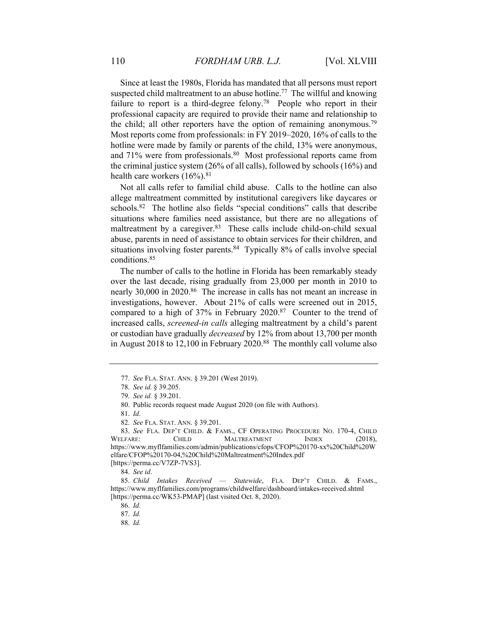Since at least the 1980s, Florida has mandated that all persons must report suspected child maltreatment to an abuse hotline.<sup>77</sup> The willful and knowing failure to report is a third-degree felony.<sup>78</sup> People who report in their professional capacity are required to provide their name and relationship to the child; all other reporters have the option of remaining anonymous.79 Most reports come from professionals: in FY 2019–2020, 16% of calls to the hotline were made by family or parents of the child, 13% were anonymous, and 71% were from professionals.<sup>80</sup> Most professional reports came from the criminal justice system (26% of all calls), followed by schools (16%) and health care workers  $(16\%)$ .<sup>81</sup>

Not all calls refer to familial child abuse. Calls to the hotline can also allege maltreatment committed by institutional caregivers like daycares or schools.<sup>82</sup> The hotline also fields "special conditions" calls that describe situations where families need assistance, but there are no allegations of maltreatment by a caregiver.<sup>83</sup> These calls include child-on-child sexual abuse, parents in need of assistance to obtain services for their children, and situations involving foster parents.<sup>84</sup> Typically 8% of calls involve special conditions.85

The number of calls to the hotline in Florida has been remarkably steady over the last decade, rising gradually from 23,000 per month in 2010 to nearly 30,000 in 2020.<sup>86</sup> The increase in calls has not meant an increase in investigations, however. About 21% of calls were screened out in 2015, compared to a high of 37% in February 2020.87 Counter to the trend of increased calls, *screened-in calls* alleging maltreatment by a child's parent or custodian have gradually *decreased* by 12% from about 13,700 per month in August 2018 to 12,100 in February 2020.88 The monthly call volume also

[https://perma.cc/V7ZP-7VS3].

84. *See id*.

<sup>77.</sup> *See* FLA. STAT. ANN. § 39.201 (West 2019).

<sup>78.</sup> *See id.* § 39.205.

<sup>79.</sup> *See id.* § 39.201.

 <sup>80.</sup> Public records request made August 2020 (on file with Authors).

<sup>81.</sup> *Id*.

<sup>82.</sup> *See* FLA. STAT. ANN. § 39.201.

<sup>83.</sup> *See* FLA. DEP'T CHILD. & FAMS., CF OPERATING PROCEDURE NO. 170-4, CHILD WELFARE: CHILD MALTREATMENT INDEX (2018), https://www.myflfamilies.com/admin/publications/cfops/CFOP%20170-xx%20Child%20W elfare/CFOP%20170-04,%20Child%20Maltreatment%20Index.pdf

<sup>85.</sup> *Child Intakes Received — Statewide*, FLA. DEP'T CHILD. & FAMS., https://www.myflfamilies.com/programs/childwelfare/dashboard/intakes-received.shtml [https://perma.cc/WK53-PMAP] (last visited Oct. 8, 2020).

<sup>86.</sup> *Id.* 

<sup>87.</sup> *Id.*

<sup>88.</sup> *Id.*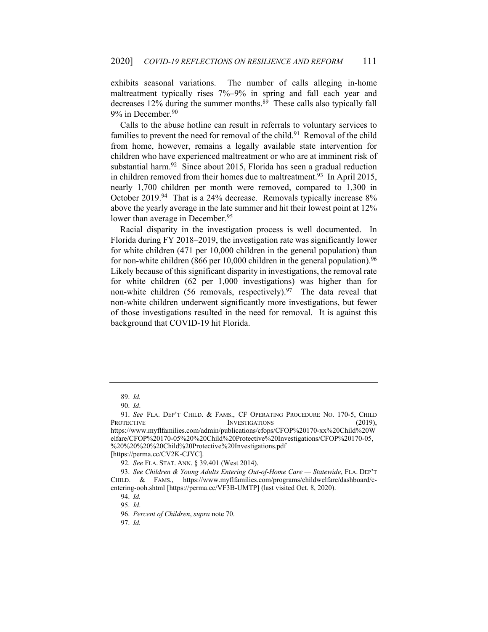exhibits seasonal variations. The number of calls alleging in-home maltreatment typically rises 7%–9% in spring and fall each year and decreases 12% during the summer months.<sup>89</sup> These calls also typically fall 9% in December.<sup>90</sup>

Calls to the abuse hotline can result in referrals to voluntary services to families to prevent the need for removal of the child.<sup>91</sup> Removal of the child from home, however, remains a legally available state intervention for children who have experienced maltreatment or who are at imminent risk of substantial harm.<sup>92</sup> Since about 2015, Florida has seen a gradual reduction in children removed from their homes due to maltreatment.<sup>93</sup> In April 2015, nearly 1,700 children per month were removed, compared to 1,300 in October 2019.<sup>94</sup> That is a 24% decrease. Removals typically increase 8% above the yearly average in the late summer and hit their lowest point at 12% lower than average in December.<sup>95</sup>

Racial disparity in the investigation process is well documented. In Florida during FY 2018–2019, the investigation rate was significantly lower for white children (471 per 10,000 children in the general population) than for non-white children (866 per 10,000 children in the general population).<sup>96</sup> Likely because of this significant disparity in investigations, the removal rate for white children (62 per 1,000 investigations) was higher than for non-white children (56 removals, respectively). $97$  The data reveal that non-white children underwent significantly more investigations, but fewer of those investigations resulted in the need for removal. It is against this background that COVID-19 hit Florida.

<sup>89.</sup> *Id.*

<sup>90.</sup> *Id*.

<sup>91.</sup> *See* FLA. DEP'T CHILD. & FAMS., CF OPERATING PROCEDURE NO. 170-5, CHILD PROTECTIVE INVESTIGATIONS (2019), https://www.myflfamilies.com/admin/publications/cfops/CFOP%20170-xx%20Child%20W elfare/CFOP%20170-05%20%20Child%20Protective%20Investigations/CFOP%20170-05, %20%20%20%20Child%20Protective%20Investigations.pdf

<sup>[</sup>https://perma.cc/CV2K-CJYC].

<sup>92.</sup> *See* FLA. STAT. ANN. § 39.401 (West 2014).

<sup>93.</sup> *See Children & Young Adults Entering Out-of-Home Care — Statewide*, FLA. DEP'T CHILD. & FAMS., https://www.myflfamilies.com/programs/childwelfare/dashboard/centering-ooh.shtml [https://perma.cc/VF3B-UMTP] (last visited Oct. 8, 2020).

<sup>94.</sup> *Id.*

<sup>95.</sup> *Id*.

<sup>96.</sup> *Percent of Children*, *supra* note 70.

<sup>97.</sup> *Id.*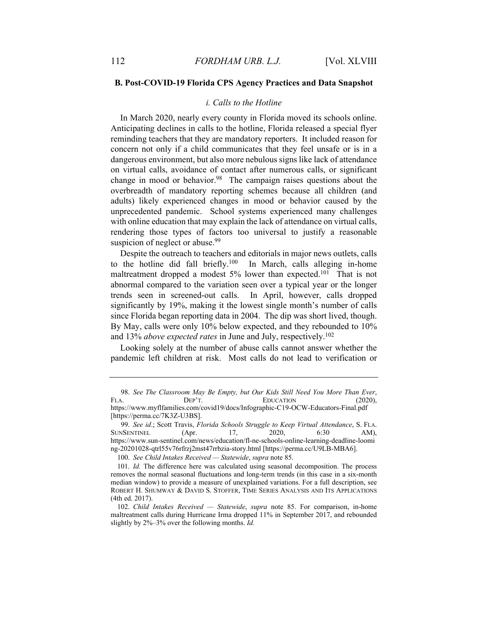#### **B. Post-COVID-19 Florida CPS Agency Practices and Data Snapshot**

#### *i. Calls to the Hotline*

In March 2020, nearly every county in Florida moved its schools online. Anticipating declines in calls to the hotline, Florida released a special flyer reminding teachers that they are mandatory reporters. It included reason for concern not only if a child communicates that they feel unsafe or is in a dangerous environment, but also more nebulous signs like lack of attendance on virtual calls, avoidance of contact after numerous calls, or significant change in mood or behavior.<sup>98</sup> The campaign raises questions about the overbreadth of mandatory reporting schemes because all children (and adults) likely experienced changes in mood or behavior caused by the unprecedented pandemic. School systems experienced many challenges with online education that may explain the lack of attendance on virtual calls, rendering those types of factors too universal to justify a reasonable suspicion of neglect or abuse.<sup>99</sup>

Despite the outreach to teachers and editorials in major news outlets, calls to the hotline did fall briefly.<sup>100</sup> In March, calls alleging in-home maltreatment dropped a modest 5% lower than expected.<sup>101</sup> That is not abnormal compared to the variation seen over a typical year or the longer trends seen in screened-out calls. In April, however, calls dropped significantly by 19%, making it the lowest single month's number of calls since Florida began reporting data in 2004. The dip was short lived, though. By May, calls were only 10% below expected, and they rebounded to 10% and 13% *above expected rates* in June and July, respectively.102

Looking solely at the number of abuse calls cannot answer whether the pandemic left children at risk. Most calls do not lead to verification or

<sup>98.</sup> *See The Classroom May Be Empty, but Our Kids Still Need You More Than Ever*, FLA. DEP'T. EDUCATION (2020), https://www.myflfamilies.com/covid19/docs/Infographic-C19-OCW-Educators-Final.pdf [https://perma.cc/7K3Z-U3BS].

<sup>99.</sup> *See id*.; Scott Travis, *Florida Schools Struggle to Keep Virtual Attendance*, S. FLA. SUNSENTINEL (Apr. 17, 2020, 6:30 AM), https://www.sun-sentinel.com/news/education/fl-ne-schools-online-learning-deadline-loomi ng-20201028-qtrl55v76rfrzj2mst47rrbzia-story.html [https://perma.cc/U9LB-MBA6].

<sup>100.</sup> *See Child Intakes Received — Statewide*, *supra* note 85.

<sup>101.</sup> *Id.* The difference here was calculated using seasonal decomposition. The process removes the normal seasonal fluctuations and long-term trends (in this case in a six-month median window) to provide a measure of unexplained variations. For a full description, see ROBERT H. SHUMWAY & DAVID S. STOFFER, TIME SERIES ANALYSIS AND ITS APPLICATIONS (4th ed. 2017).

<sup>102.</sup> *Child Intakes Received — Statewide*, *supra* note 85. For comparison, in-home maltreatment calls during Hurricane Irma dropped 11% in September 2017, and rebounded slightly by 2%–3% over the following months. *Id.*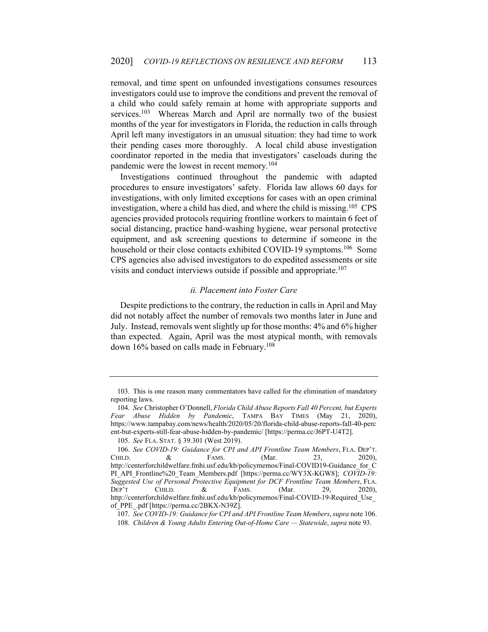removal, and time spent on unfounded investigations consumes resources investigators could use to improve the conditions and prevent the removal of a child who could safely remain at home with appropriate supports and services.<sup>103</sup> Whereas March and April are normally two of the busiest months of the year for investigators in Florida, the reduction in calls through April left many investigators in an unusual situation: they had time to work their pending cases more thoroughly. A local child abuse investigation coordinator reported in the media that investigators' caseloads during the pandemic were the lowest in recent memory.<sup>104</sup>

Investigations continued throughout the pandemic with adapted procedures to ensure investigators' safety. Florida law allows 60 days for investigations, with only limited exceptions for cases with an open criminal investigation, where a child has died, and where the child is missing.<sup>105</sup> CPS agencies provided protocols requiring frontline workers to maintain 6 feet of social distancing, practice hand-washing hygiene, wear personal protective equipment, and ask screening questions to determine if someone in the household or their close contacts exhibited COVID-19 symptoms.<sup>106</sup> Some CPS agencies also advised investigators to do expedited assessments or site visits and conduct interviews outside if possible and appropriate.<sup>107</sup>

#### *ii. Placement into Foster Care*

Despite predictions to the contrary, the reduction in calls in April and May did not notably affect the number of removals two months later in June and July. Instead, removals went slightly up for those months: 4% and 6% higher than expected. Again, April was the most atypical month, with removals down 16% based on calls made in February.<sup>108</sup>

 <sup>103.</sup> This is one reason many commentators have called for the elimination of mandatory reporting laws.

<sup>104.</sup> *See* Christopher O'Donnell, *Florida Child Abuse Reports Fall 40 Percent, but Experts Fear Abuse Hidden by Pandemic*, TAMPA BAY TIMES (May 21, 2020), https://www.tampabay.com/news/health/2020/05/20/florida-child-abuse-reports-fall-40-perc ent-but-experts-still-fear-abuse-hidden-by-pandemic/ [https://perma.cc/J6PT-U4T2].

<sup>105.</sup> *See* FLA. STAT. § 39.301 (West 2019).

<sup>106.</sup> *See COVID-19: Guidance for CPI and API Frontline Team Members*, FLA. DEP'T. CHILD.  $\&$  FAMS. (Mar. 23, 2020), http://centerforchildwelfare.fmhi.usf.edu/kb/policymemos/Final-COVID19-Guidance\_for\_C PI\_API\_Frontline%20\_Team\_Members.pdf [https://perma.cc/WY3X-KGW8]; *COVID-19: Suggested Use of Personal Protective Equipment for DCF Frontline Team Members*, FLA. DEP'T CHILD. & FAMS. (Mar. 29, 2020), http://centerforchildwelfare.fmhi.usf.edu/kb/policymemos/Final-COVID-19-Required\_Use\_ of\_PPE\_.pdf [https://perma.cc/2BKX-N39Z].

<sup>107.</sup> *See COVID-19: Guidance for CPI and API Frontline Team Members*,*supra* note 106.

<sup>108.</sup> *Children & Young Adults Entering Out-of-Home Care — Statewide*, *supra* note 93.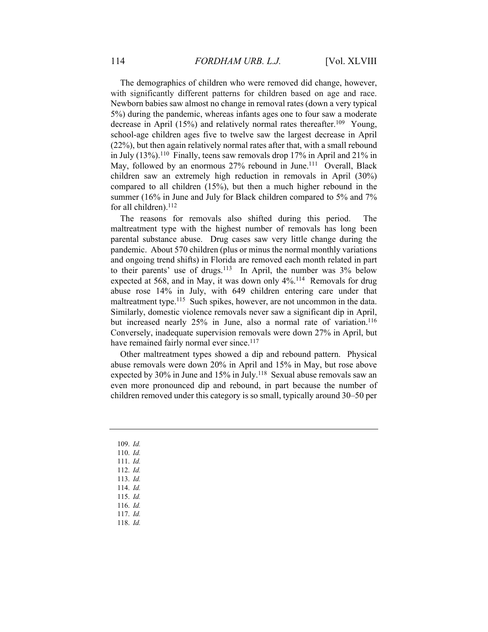The demographics of children who were removed did change, however, with significantly different patterns for children based on age and race. Newborn babies saw almost no change in removal rates (down a very typical 5%) during the pandemic, whereas infants ages one to four saw a moderate decrease in April (15%) and relatively normal rates thereafter.<sup>109</sup> Young, school-age children ages five to twelve saw the largest decrease in April (22%), but then again relatively normal rates after that, with a small rebound in July (13%).110 Finally, teens saw removals drop 17% in April and 21% in May, followed by an enormous 27% rebound in June.<sup>111</sup> Overall, Black children saw an extremely high reduction in removals in April (30%) compared to all children (15%), but then a much higher rebound in the summer (16% in June and July for Black children compared to 5% and 7% for all children).<sup>112</sup>

The reasons for removals also shifted during this period. The maltreatment type with the highest number of removals has long been parental substance abuse. Drug cases saw very little change during the pandemic. About 570 children (plus or minus the normal monthly variations and ongoing trend shifts) in Florida are removed each month related in part to their parents' use of drugs.<sup>113</sup> In April, the number was  $3\%$  below expected at 568, and in May, it was down only 4%.114 Removals for drug abuse rose 14% in July, with 649 children entering care under that maltreatment type.<sup>115</sup> Such spikes, however, are not uncommon in the data. Similarly, domestic violence removals never saw a significant dip in April, but increased nearly 25% in June, also a normal rate of variation.<sup>116</sup> Conversely, inadequate supervision removals were down 27% in April, but have remained fairly normal ever since.<sup>117</sup>

Other maltreatment types showed a dip and rebound pattern. Physical abuse removals were down 20% in April and 15% in May, but rose above expected by 30% in June and 15% in July.<sup>118</sup> Sexual abuse removals saw an even more pronounced dip and rebound, in part because the number of children removed under this category is so small, typically around 30–50 per

- 109. *Id.* 110. *Id.*
- 111. *Id.*
- 112. *Id.*
- 113. *Id.*
- 114. *Id.*
- 115. *Id.*
- 116. *Id.*
- 117. *Id.*
- 118. *Id.*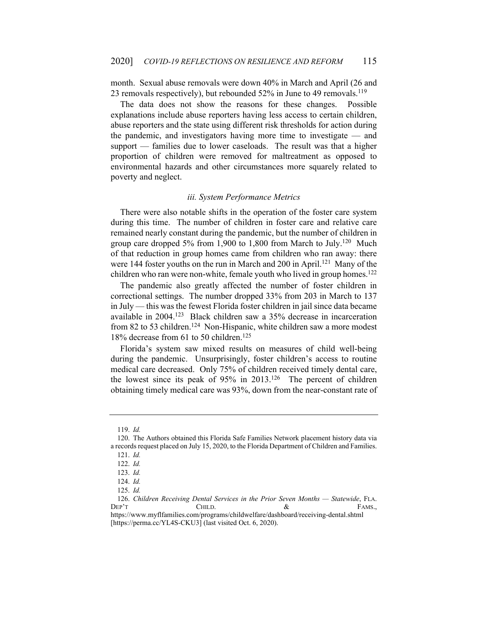month. Sexual abuse removals were down 40% in March and April (26 and 23 removals respectively), but rebounded 52% in June to 49 removals.<sup>119</sup>

The data does not show the reasons for these changes. Possible explanations include abuse reporters having less access to certain children, abuse reporters and the state using different risk thresholds for action during the pandemic, and investigators having more time to investigate — and support — families due to lower caseloads. The result was that a higher proportion of children were removed for maltreatment as opposed to environmental hazards and other circumstances more squarely related to poverty and neglect.

#### *iii. System Performance Metrics*

There were also notable shifts in the operation of the foster care system during this time. The number of children in foster care and relative care remained nearly constant during the pandemic, but the number of children in group care dropped 5% from 1,900 to 1,800 from March to July.<sup>120</sup> Much of that reduction in group homes came from children who ran away: there were 144 foster youths on the run in March and 200 in April.<sup>121</sup> Many of the children who ran were non-white, female youth who lived in group homes.<sup>122</sup>

The pandemic also greatly affected the number of foster children in correctional settings. The number dropped 33% from 203 in March to 137 in July — this was the fewest Florida foster children in jail since data became available in 2004.123 Black children saw a 35% decrease in incarceration from 82 to 53 children.<sup>124</sup> Non-Hispanic, white children saw a more modest 18% decrease from 61 to 50 children.125

Florida's system saw mixed results on measures of child well-being during the pandemic. Unsurprisingly, foster children's access to routine medical care decreased. Only 75% of children received timely dental care, the lowest since its peak of 95% in 2013.126 The percent of children obtaining timely medical care was 93%, down from the near-constant rate of

<sup>119.</sup> *Id.*

 <sup>120.</sup> The Authors obtained this Florida Safe Families Network placement history data via a records request placed on July 15, 2020, to the Florida Department of Children and Families. 121. *Id.*

<sup>122.</sup> *Id.*

<sup>123.</sup> *Id.*

<sup>124.</sup> *Id.*

<sup>125.</sup> *Id.*

<sup>126.</sup> *Children Receiving Dental Services in the Prior Seven Months — Statewide*, FLA. DEP'T CHILD.  $\&$  FAMS., https://www.myflfamilies.com/programs/childwelfare/dashboard/receiving-dental.shtml [https://perma.cc/YL4S-CKU3] (last visited Oct. 6, 2020).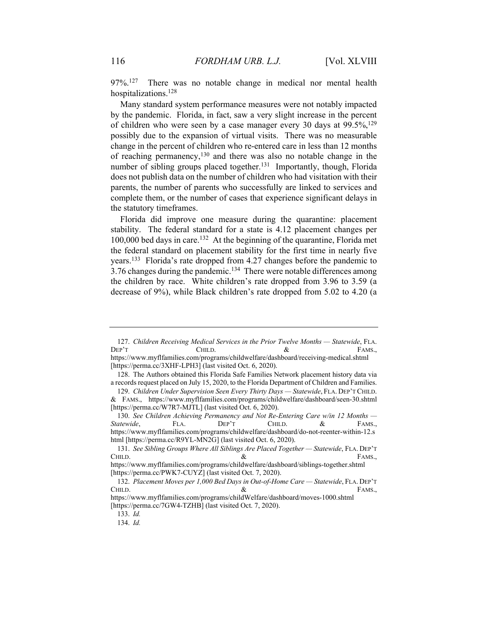97%.127 There was no notable change in medical nor mental health hospitalizations.128

Many standard system performance measures were not notably impacted by the pandemic. Florida, in fact, saw a very slight increase in the percent of children who were seen by a case manager every 30 days at  $99.5\%,129$ possibly due to the expansion of virtual visits. There was no measurable change in the percent of children who re-entered care in less than 12 months of reaching permanency, $130$  and there was also no notable change in the number of sibling groups placed together.<sup>131</sup> Importantly, though, Florida does not publish data on the number of children who had visitation with their parents, the number of parents who successfully are linked to services and complete them, or the number of cases that experience significant delays in the statutory timeframes.

Florida did improve one measure during the quarantine: placement stability. The federal standard for a state is 4.12 placement changes per 100,000 bed days in care.132 At the beginning of the quarantine, Florida met the federal standard on placement stability for the first time in nearly five years.133 Florida's rate dropped from 4.27 changes before the pandemic to  $3.76$  changes during the pandemic.<sup>134</sup> There were notable differences among the children by race. White children's rate dropped from 3.96 to 3.59 (a decrease of 9%), while Black children's rate dropped from 5.02 to 4.20 (a

<sup>127.</sup> *Children Receiving Medical Services in the Prior Twelve Months — Statewide*, FLA. DEP'T CHILD.  $\&$  FAMS.,

https://www.myflfamilies.com/programs/childwelfare/dashboard/receiving-medical.shtml [https://perma.cc/3XHF-LPH3] (last visited Oct. 6, 2020).

 <sup>128.</sup> The Authors obtained this Florida Safe Families Network placement history data via a records request placed on July 15, 2020, to the Florida Department of Children and Families.

<sup>129.</sup> *Children Under Supervision Seen Every Thirty Days — Statewide*, FLA. DEP'T CHILD. & FAMS., https://www.myflfamilies.com/programs/childwelfare/dashboard/seen-30.shtml [https://perma.cc/W7R7-MJTL] (last visited Oct. 6, 2020).

<sup>130.</sup> *See Children Achieving Permanency and Not Re-Entering Care w/in 12 Months — Statewide*, FLA. DEP'T CHILD. & FAMS., https://www.myflfamilies.com/programs/childwelfare/dashboard/do-not-reenter-within-12.s html [https://perma.cc/R9YL-MN2G] (last visited Oct. 6, 2020).

<sup>131.</sup> *See Sibling Groups Where All Siblings Are Placed Together — Statewide*, FLA. DEP'T CHILD.  $\&$  FAMS., https://www.myflfamilies.com/programs/childwelfare/dashboard/siblings-together.shtml

<sup>[</sup>https://perma.cc/PWK7-CUYZ] (last visited Oct. 7, 2020).

<sup>132.</sup> *Placement Moves per 1,000 Bed Days in Out-of-Home Care — Statewide*, FLA. DEP'T CHILD.  $\&$  FAMS.,

https://www.myflfamilies.com/programs/childWelfare/dashboard/moves-1000.shtml [https://perma.cc/7GW4-TZHB] (last visited Oct. 7, 2020).

<sup>133.</sup> *Id.*

<sup>134.</sup> *Id.*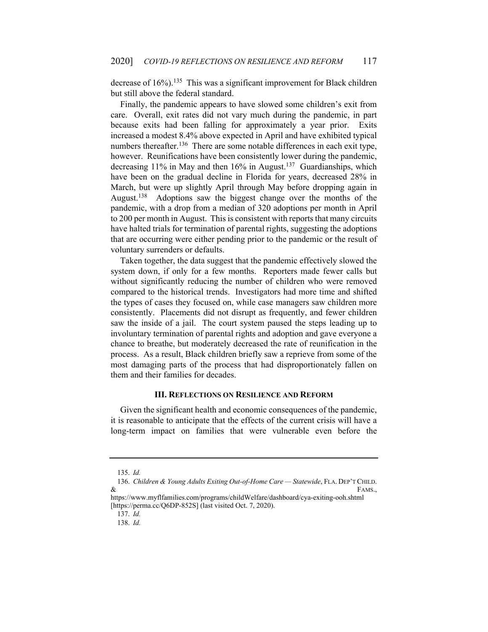decrease of 16%).<sup>135</sup> This was a significant improvement for Black children but still above the federal standard.

Finally, the pandemic appears to have slowed some children's exit from care. Overall, exit rates did not vary much during the pandemic, in part because exits had been falling for approximately a year prior. Exits increased a modest 8.4% above expected in April and have exhibited typical numbers thereafter.<sup>136</sup> There are some notable differences in each exit type, however. Reunifications have been consistently lower during the pandemic, decreasing 11% in May and then 16% in August.<sup>137</sup> Guardianships, which have been on the gradual decline in Florida for years, decreased 28% in March, but were up slightly April through May before dropping again in August.138 Adoptions saw the biggest change over the months of the pandemic, with a drop from a median of 320 adoptions per month in April to 200 per month in August. This is consistent with reports that many circuits have halted trials for termination of parental rights, suggesting the adoptions that are occurring were either pending prior to the pandemic or the result of voluntary surrenders or defaults.

Taken together, the data suggest that the pandemic effectively slowed the system down, if only for a few months. Reporters made fewer calls but without significantly reducing the number of children who were removed compared to the historical trends. Investigators had more time and shifted the types of cases they focused on, while case managers saw children more consistently. Placements did not disrupt as frequently, and fewer children saw the inside of a jail. The court system paused the steps leading up to involuntary termination of parental rights and adoption and gave everyone a chance to breathe, but moderately decreased the rate of reunification in the process. As a result, Black children briefly saw a reprieve from some of the most damaging parts of the process that had disproportionately fallen on them and their families for decades.

## **III. REFLECTIONS ON RESILIENCE AND REFORM**

Given the significant health and economic consequences of the pandemic, it is reasonable to anticipate that the effects of the current crisis will have a long-term impact on families that were vulnerable even before the

<sup>135.</sup> *Id.*

<sup>136.</sup> *Children & Young Adults Exiting Out-of-Home Care — Statewide*, FLA. DEP'T CHILD.  $\&$  FAMS.,

https://www.myflfamilies.com/programs/childWelfare/dashboard/cya-exiting-ooh.shtml [https://perma.cc/Q6DP-852S] (last visited Oct. 7, 2020).

<sup>137.</sup> *Id.*

<sup>138.</sup> *Id.*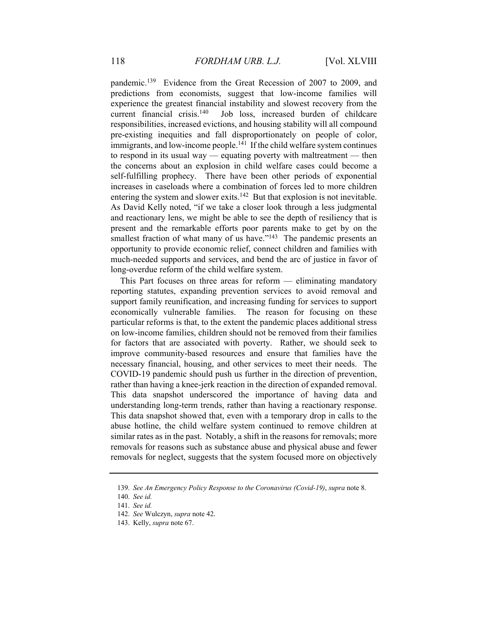pandemic.139 Evidence from the Great Recession of 2007 to 2009, and predictions from economists, suggest that low-income families will experience the greatest financial instability and slowest recovery from the current financial crisis.<sup>140</sup> Job loss, increased burden of childcare responsibilities, increased evictions, and housing stability will all compound pre-existing inequities and fall disproportionately on people of color, immigrants, and low-income people.<sup>141</sup> If the child welfare system continues to respond in its usual way — equating poverty with maltreatment — then the concerns about an explosion in child welfare cases could become a self-fulfilling prophecy. There have been other periods of exponential increases in caseloads where a combination of forces led to more children entering the system and slower exits.<sup>142</sup> But that explosion is not inevitable. As David Kelly noted, "if we take a closer look through a less judgmental and reactionary lens, we might be able to see the depth of resiliency that is present and the remarkable efforts poor parents make to get by on the smallest fraction of what many of us have."<sup>143</sup> The pandemic presents an opportunity to provide economic relief, connect children and families with much-needed supports and services, and bend the arc of justice in favor of long-overdue reform of the child welfare system.

This Part focuses on three areas for reform — eliminating mandatory reporting statutes, expanding prevention services to avoid removal and support family reunification, and increasing funding for services to support economically vulnerable families. The reason for focusing on these particular reforms is that, to the extent the pandemic places additional stress on low-income families, children should not be removed from their families for factors that are associated with poverty. Rather, we should seek to improve community-based resources and ensure that families have the necessary financial, housing, and other services to meet their needs. The COVID-19 pandemic should push us further in the direction of prevention, rather than having a knee-jerk reaction in the direction of expanded removal. This data snapshot underscored the importance of having data and understanding long-term trends, rather than having a reactionary response. This data snapshot showed that, even with a temporary drop in calls to the abuse hotline, the child welfare system continued to remove children at similar rates as in the past. Notably, a shift in the reasons for removals; more removals for reasons such as substance abuse and physical abuse and fewer removals for neglect, suggests that the system focused more on objectively

<sup>139.</sup> *See An Emergency Policy Response to the Coronavirus (Covid-19)*, *supra* note 8.

<sup>140.</sup> *See id.*

<sup>141.</sup> *See id.*

<sup>142.</sup> *See* Wulczyn, *supra* note 42.

 <sup>143.</sup> Kelly, *supra* note 67.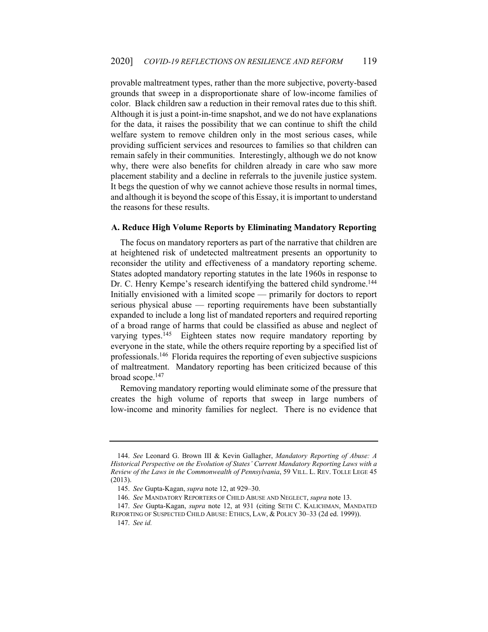provable maltreatment types, rather than the more subjective, poverty-based grounds that sweep in a disproportionate share of low-income families of color. Black children saw a reduction in their removal rates due to this shift. Although it is just a point-in-time snapshot, and we do not have explanations for the data, it raises the possibility that we can continue to shift the child welfare system to remove children only in the most serious cases, while providing sufficient services and resources to families so that children can remain safely in their communities. Interestingly, although we do not know why, there were also benefits for children already in care who saw more placement stability and a decline in referrals to the juvenile justice system. It begs the question of why we cannot achieve those results in normal times, and although it is beyond the scope of this Essay, it is important to understand the reasons for these results.

#### **A. Reduce High Volume Reports by Eliminating Mandatory Reporting**

The focus on mandatory reporters as part of the narrative that children are at heightened risk of undetected maltreatment presents an opportunity to reconsider the utility and effectiveness of a mandatory reporting scheme. States adopted mandatory reporting statutes in the late 1960s in response to Dr. C. Henry Kempe's research identifying the battered child syndrome.<sup>144</sup> Initially envisioned with a limited scope — primarily for doctors to report serious physical abuse — reporting requirements have been substantially expanded to include a long list of mandated reporters and required reporting of a broad range of harms that could be classified as abuse and neglect of varying types.<sup>145</sup> Eighteen states now require mandatory reporting by everyone in the state, while the others require reporting by a specified list of professionals.146 Florida requires the reporting of even subjective suspicions of maltreatment. Mandatory reporting has been criticized because of this broad scope.147

Removing mandatory reporting would eliminate some of the pressure that creates the high volume of reports that sweep in large numbers of low-income and minority families for neglect. There is no evidence that

<sup>144.</sup> *See* Leonard G. Brown III & Kevin Gallagher, *Mandatory Reporting of Abuse: A Historical Perspective on the Evolution of States' Current Mandatory Reporting Laws with a Review of the Laws in the Commonwealth of Pennsylvania*, 59 VILL. L. REV. TOLLE LEGE 45 (2013).

<sup>145.</sup> *See* Gupta-Kagan, *supra* note 12, at 929–30.

<sup>146.</sup> *See* MANDATORY REPORTERS OF CHILD ABUSE AND NEGLECT, *supra* note 13.

<sup>147.</sup> *See* Gupta-Kagan, *supra* note 12, at 931 (citing SETH C. KALICHMAN, MANDATED REPORTING OF SUSPECTED CHILD ABUSE: ETHICS, LAW, & POLICY 30–33 (2d ed. 1999)).

<sup>147.</sup> *See id.*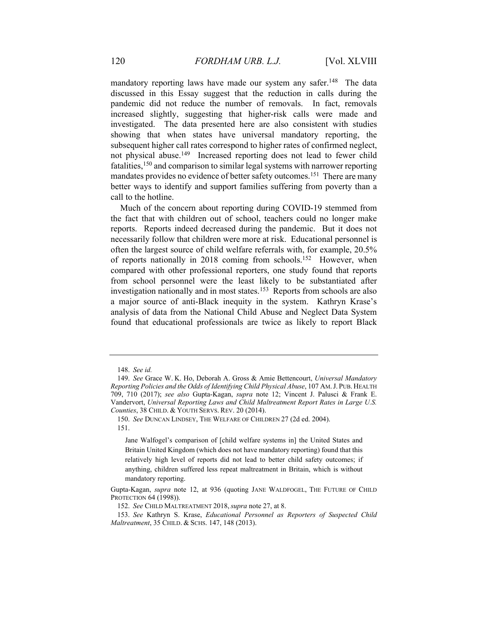mandatory reporting laws have made our system any safer.<sup>148</sup> The data discussed in this Essay suggest that the reduction in calls during the pandemic did not reduce the number of removals. In fact, removals increased slightly, suggesting that higher-risk calls were made and investigated. The data presented here are also consistent with studies showing that when states have universal mandatory reporting, the subsequent higher call rates correspond to higher rates of confirmed neglect, not physical abuse.149 Increased reporting does not lead to fewer child fatalities,150 and comparison to similar legal systems with narrower reporting mandates provides no evidence of better safety outcomes.<sup>151</sup> There are many better ways to identify and support families suffering from poverty than a call to the hotline.

Much of the concern about reporting during COVID-19 stemmed from the fact that with children out of school, teachers could no longer make reports. Reports indeed decreased during the pandemic. But it does not necessarily follow that children were more at risk. Educational personnel is often the largest source of child welfare referrals with, for example, 20.5% of reports nationally in 2018 coming from schools.152 However, when compared with other professional reporters, one study found that reports from school personnel were the least likely to be substantiated after investigation nationally and in most states.<sup>153</sup> Reports from schools are also a major source of anti-Black inequity in the system. Kathryn Krase's analysis of data from the National Child Abuse and Neglect Data System found that educational professionals are twice as likely to report Black

<sup>148.</sup> *See id.*

<sup>149.</sup> *See* Grace W. K. Ho, Deborah A. Gross & Amie Bettencourt, *Universal Mandatory Reporting Policies and the Odds of Identifying Child Physical Abuse*, 107 AM.J. PUB. HEALTH 709, 710 (2017); *see also* Gupta-Kagan, *supra* note 12; Vincent J. Palusci & Frank E. Vandervort, *Universal Reporting Laws and Child Maltreatment Report Rates in Large U.S. Counties*, 38 CHILD. & YOUTH SERVS. REV. 20 (2014).

<sup>150.</sup> *See* DUNCAN LINDSEY, THE WELFARE OF CHILDREN 27 (2d ed. 2004). 151.

Jane Walfogel's comparison of [child welfare systems in] the United States and Britain United Kingdom (which does not have mandatory reporting) found that this relatively high level of reports did not lead to better child safety outcomes; if anything, children suffered less repeat maltreatment in Britain, which is without mandatory reporting.

Gupta-Kagan, *supra* note 12, at 936 (quoting JANE WALDFOGEL, THE FUTURE OF CHILD PROTECTION 64 (1998)).

 <sup>152.</sup> *See* CHILD MALTREATMENT 2018,*supra* note 27, at 8.

<sup>153.</sup> *See* Kathryn S. Krase, *Educational Personnel as Reporters of Suspected Child Maltreatment*, 35 CHILD. & SCHS. 147, 148 (2013).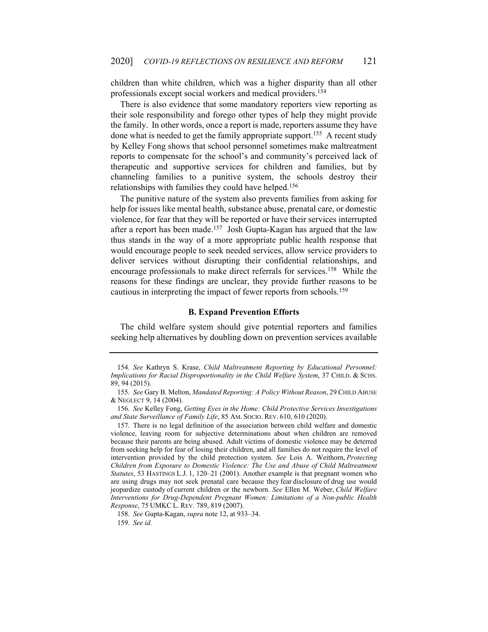children than white children, which was a higher disparity than all other professionals except social workers and medical providers.154

There is also evidence that some mandatory reporters view reporting as their sole responsibility and forego other types of help they might provide the family. In other words, once a report is made, reporters assume they have done what is needed to get the family appropriate support.<sup>155</sup> A recent study by Kelley Fong shows that school personnel sometimes make maltreatment reports to compensate for the school's and community's perceived lack of therapeutic and supportive services for children and families, but by channeling families to a punitive system, the schools destroy their relationships with families they could have helped.<sup>156</sup>

The punitive nature of the system also prevents families from asking for help for issues like mental health, substance abuse, prenatal care, or domestic violence, for fear that they will be reported or have their services interrupted after a report has been made.<sup>157</sup> Josh Gupta-Kagan has argued that the law thus stands in the way of a more appropriate public health response that would encourage people to seek needed services, allow service providers to deliver services without disrupting their confidential relationships, and encourage professionals to make direct referrals for services.158 While the reasons for these findings are unclear, they provide further reasons to be cautious in interpreting the impact of fewer reports from schools.159

## **B. Expand Prevention Efforts**

The child welfare system should give potential reporters and families seeking help alternatives by doubling down on prevention services available

<sup>154.</sup> *See* Kathryn S. Krase, *Child Maltreatment Reporting by Educational Personnel: Implications for Racial Disproportionality in the Child Welfare System*, 37 CHILD. & SCHS. 89, 94 (2015).

<sup>155.</sup> *See* Gary B. Melton, *Mandated Reporting: A Policy Without Reason*, 29 CHILD ABUSE & NEGLECT 9, 14 (2004).

<sup>156.</sup> *See* Kelley Fong, *Getting Eyes in the Home: Child Protective Services Investigations and State Surveillance of Family Life*, 85 AM. SOCIO. REV. 610, 610 (2020).

 <sup>157.</sup> There is no legal definition of the association between child welfare and domestic violence, leaving room for subjective determinations about when children are removed because their parents are being abused. Adult victims of domestic violence may be deterred from seeking help for fear of losing their children, and all families do not require the level of intervention provided by the child protection system. *See* Lois A. Weithorn, *Protecting Children from Exposure to Domestic Violence: The Use and Abuse of Child Maltreatment Statutes*, 53 HASTINGS L.J. 1, 120–21 (2001). Another example is that pregnant women who are using drugs may not seek prenatal care because they fear disclosure of drug use would jeopardize custody of current children or the newborn. *See* Ellen M. Weber, *Child Welfare Interventions for Drug-Dependent Pregnant Women: Limitations of a Non-public Health Response*, 75 UMKC L. REV. 789, 819 (2007).

<sup>158.</sup> *See* Gupta-Kagan, *supra* note 12, at 933–34.

<sup>159.</sup> *See id.*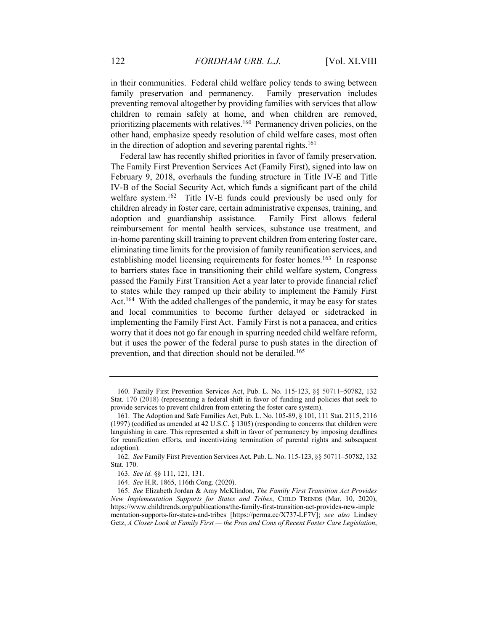in their communities. Federal child welfare policy tends to swing between family preservation and permanency. Family preservation includes preventing removal altogether by providing families with services that allow children to remain safely at home, and when children are removed, prioritizing placements with relatives.160 Permanency driven policies, on the other hand, emphasize speedy resolution of child welfare cases, most often in the direction of adoption and severing parental rights.<sup>161</sup>

Federal law has recently shifted priorities in favor of family preservation. The Family First Prevention Services Act (Family First), signed into law on February 9, 2018, overhauls the funding structure in Title IV-E and Title IV-B of the Social Security Act, which funds a significant part of the child welfare system.<sup>162</sup> Title IV-E funds could previously be used only for children already in foster care, certain administrative expenses, training, and adoption and guardianship assistance. Family First allows federal reimbursement for mental health services, substance use treatment, and in-home parenting skill training to prevent children from entering foster care, eliminating time limits for the provision of family reunification services, and establishing model licensing requirements for foster homes.<sup>163</sup> In response to barriers states face in transitioning their child welfare system, Congress passed the Family First Transition Act a year later to provide financial relief to states while they ramped up their ability to implement the Family First Act.<sup>164</sup> With the added challenges of the pandemic, it may be easy for states and local communities to become further delayed or sidetracked in implementing the Family First Act. Family First is not a panacea, and critics worry that it does not go far enough in spurring needed child welfare reform, but it uses the power of the federal purse to push states in the direction of prevention, and that direction should not be derailed.165

 <sup>160.</sup> Family First Prevention Services Act, Pub. L. No. 115-123, §§ 50711–50782, 132 Stat. 170 (2018) (representing a federal shift in favor of funding and policies that seek to provide services to prevent children from entering the foster care system).

 <sup>161.</sup> The Adoption and Safe Families Act, Pub. L. No. 105-89, § 101, 111 Stat. 2115, 2116 (1997) (codified as amended at 42 U.S.C. § 1305) (responding to concerns that children were languishing in care. This represented a shift in favor of permanency by imposing deadlines for reunification efforts, and incentivizing termination of parental rights and subsequent adoption).

<sup>162.</sup> *See* Family First Prevention Services Act, Pub. L. No. 115-123, §§ 50711–50782, 132 Stat. 170.

<sup>163.</sup> *See id.* §§ 111, 121, 131.

 <sup>164.</sup> *See* H.R. 1865, 116th Cong. (2020).

<sup>165.</sup> *See* Elizabeth Jordan & Amy McKlindon, *The Family First Transition Act Provides New Implementation Supports for States and Tribes*, CHILD TRENDS (Mar. 10, 2020), https://www.childtrends.org/publications/the-family-first-transition-act-provides-new-imple mentation-supports-for-states-and-tribes [https://perma.cc/X737-LF7V]; *see also* Lindsey Getz, *A Closer Look at Family First — the Pros and Cons of Recent Foster Care Legislation*,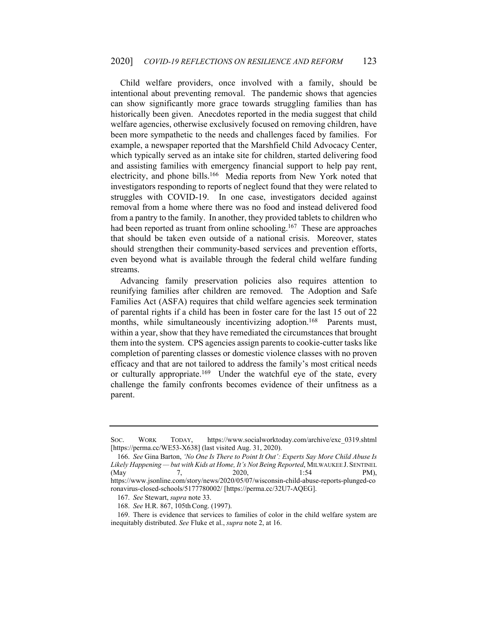Child welfare providers, once involved with a family, should be intentional about preventing removal. The pandemic shows that agencies can show significantly more grace towards struggling families than has historically been given. Anecdotes reported in the media suggest that child welfare agencies, otherwise exclusively focused on removing children, have been more sympathetic to the needs and challenges faced by families. For example, a newspaper reported that the Marshfield Child Advocacy Center, which typically served as an intake site for children, started delivering food and assisting families with emergency financial support to help pay rent, electricity, and phone bills.<sup>166</sup> Media reports from New York noted that investigators responding to reports of neglect found that they were related to struggles with COVID-19. In one case, investigators decided against removal from a home where there was no food and instead delivered food from a pantry to the family. In another, they provided tablets to children who had been reported as truant from online schooling.<sup>167</sup> These are approaches that should be taken even outside of a national crisis. Moreover, states should strengthen their community-based services and prevention efforts, even beyond what is available through the federal child welfare funding streams.

Advancing family preservation policies also requires attention to reunifying families after children are removed. The Adoption and Safe Families Act (ASFA) requires that child welfare agencies seek termination of parental rights if a child has been in foster care for the last 15 out of 22 months, while simultaneously incentivizing adoption.<sup>168</sup> Parents must, within a year, show that they have remediated the circumstances that brought them into the system. CPS agencies assign parents to cookie-cutter tasks like completion of parenting classes or domestic violence classes with no proven efficacy and that are not tailored to address the family's most critical needs or culturally appropriate.<sup>169</sup> Under the watchful eye of the state, every challenge the family confronts becomes evidence of their unfitness as a parent.

SOC. WORK TODAY, https://www.socialworktoday.com/archive/exc\_0319.shtml [https://perma.cc/WE53-X638] (last visited Aug. 31, 2020).

<sup>166.</sup> *See* Gina Barton, *'No One Is There to Point It Out': Experts Say More Child Abuse Is Likely Happening — but with Kids at Home, It's Not Being Reported*, MILWAUKEE J. SENTINEL (May 7, 2020, 1:54 PM), https://www.jsonline.com/story/news/2020/05/07/wisconsin-child-abuse-reports-plunged-co ronavirus-closed-schools/5177780002/ [https://perma.cc/32U7-AQEG].

<sup>167.</sup> *See* Stewart, *supra* note 33.

<sup>168.</sup> *See* H.R. 867, 105thCong. (1997).

 <sup>169.</sup> There is evidence that services to families of color in the child welfare system are inequitably distributed. *See* Fluke et al., *supra* note 2, at 16.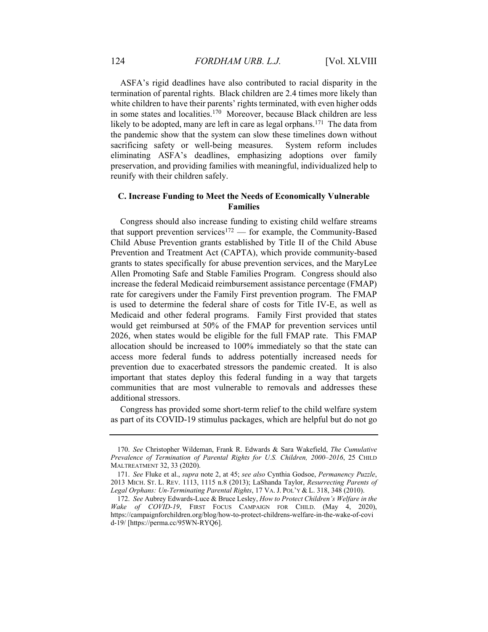ASFA's rigid deadlines have also contributed to racial disparity in the termination of parental rights. Black children are 2.4 times more likely than white children to have their parents' rights terminated, with even higher odds in some states and localities.170 Moreover, because Black children are less likely to be adopted, many are left in care as legal orphans.<sup>171</sup> The data from the pandemic show that the system can slow these timelines down without sacrificing safety or well-being measures. System reform includes eliminating ASFA's deadlines, emphasizing adoptions over family preservation, and providing families with meaningful, individualized help to reunify with their children safely.

# **C. Increase Funding to Meet the Needs of Economically Vulnerable Families**

Congress should also increase funding to existing child welfare streams that support prevention services<sup>172</sup> — for example, the Community-Based Child Abuse Prevention grants established by Title II of the Child Abuse Prevention and Treatment Act (CAPTA), which provide community-based grants to states specifically for abuse prevention services, and the MaryLee Allen Promoting Safe and Stable Families Program. Congress should also increase the federal Medicaid reimbursement assistance percentage (FMAP) rate for caregivers under the Family First prevention program. The FMAP is used to determine the federal share of costs for Title IV-E, as well as Medicaid and other federal programs. Family First provided that states would get reimbursed at 50% of the FMAP for prevention services until 2026, when states would be eligible for the full FMAP rate. This FMAP allocation should be increased to 100% immediately so that the state can access more federal funds to address potentially increased needs for prevention due to exacerbated stressors the pandemic created. It is also important that states deploy this federal funding in a way that targets communities that are most vulnerable to removals and addresses these additional stressors.

Congress has provided some short-term relief to the child welfare system as part of its COVID-19 stimulus packages, which are helpful but do not go

 <sup>170.</sup> *See* Christopher Wildeman, Frank R. Edwards & Sara Wakefield, *The Cumulative Prevalence of Termination of Parental Rights for U.S. Children, 2000–2016*, 25 CHILD MALTREATMENT 32, 33 (2020).

<sup>171.</sup> *See* Fluke et al., *supra* note 2, at 45; *see also* Cynthia Godsoe, *Permanency Puzzle*, 2013 MICH. ST. L. REV. 1113, 1115 n.8 (2013); LaShanda Taylor, *Resurrecting Parents of Legal Orphans: Un-Terminating Parental Rights*, 17 VA. J. POL'Y & L. 318, 348 (2010).

<sup>172.</sup> *See* Aubrey Edwards-Luce & Bruce Lesley, *How to Protect Children's Welfare in the Wake of COVID-19*, FIRST FOCUS CAMPAIGN FOR CHILD. (May 4, 2020), https://campaignforchildren.org/blog/how-to-protect-childrens-welfare-in-the-wake-of-covi d-19/ [https://perma.cc/95WN-RYQ6].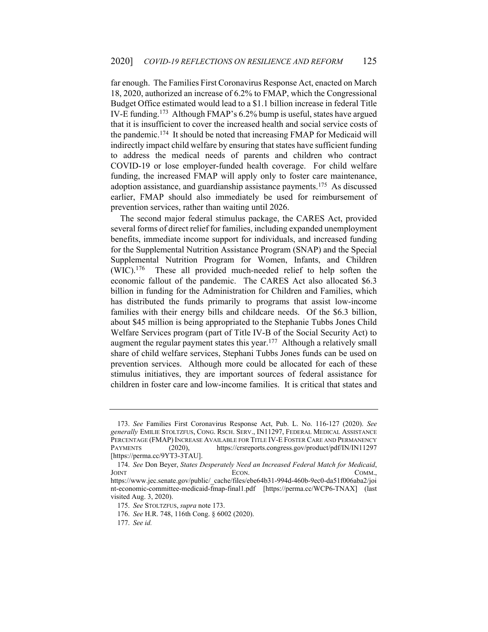far enough. The Families First Coronavirus Response Act, enacted on March 18, 2020, authorized an increase of 6.2% to FMAP, which the Congressional Budget Office estimated would lead to a \$1.1 billion increase in federal Title IV-E funding.173 Although FMAP's 6.2% bump is useful, states have argued that it is insufficient to cover the increased health and social service costs of the pandemic.174 It should be noted that increasing FMAP for Medicaid will indirectly impact child welfare by ensuring that states have sufficient funding to address the medical needs of parents and children who contract COVID-19 or lose employer-funded health coverage. For child welfare funding, the increased FMAP will apply only to foster care maintenance, adoption assistance, and guardianship assistance payments.<sup>175</sup> As discussed earlier, FMAP should also immediately be used for reimbursement of prevention services, rather than waiting until 2026.

The second major federal stimulus package, the CARES Act, provided several forms of direct relief for families, including expanded unemployment benefits, immediate income support for individuals, and increased funding for the Supplemental Nutrition Assistance Program (SNAP) and the Special Supplemental Nutrition Program for Women, Infants, and Children (WIC).176 These all provided much-needed relief to help soften the economic fallout of the pandemic. The CARES Act also allocated \$6.3 billion in funding for the Administration for Children and Families, which has distributed the funds primarily to programs that assist low-income families with their energy bills and childcare needs. Of the \$6.3 billion, about \$45 million is being appropriated to the Stephanie Tubbs Jones Child Welfare Services program (part of Title IV-B of the Social Security Act) to augment the regular payment states this year.<sup>177</sup> Although a relatively small share of child welfare services, Stephani Tubbs Jones funds can be used on prevention services. Although more could be allocated for each of these stimulus initiatives, they are important sources of federal assistance for children in foster care and low-income families. It is critical that states and

<sup>173.</sup> *See* Families First Coronavirus Response Act, Pub. L. No. 116-127 (2020). *See generally* EMILIE STOLTZFUS, CONG. RSCH. SERV., IN11297, FEDERAL MEDICAL ASSISTANCE PERCENTAGE (FMAP) INCREASE AVAILABLE FOR TITLE IV-E FOSTER CARE AND PERMANENCY PAYMENTS (2020), https://crsreports.congress.gov/product/pdf/IN/IN11297 [https://perma.cc/9YT3-3TAU].

 <sup>174.</sup> *See* Don Beyer, *States Desperately Need an Increased Federal Match for Medicaid*, JOINT ECON. ECON. COMM.,

https://www.jec.senate.gov/public/\_cache/files/ebe64b31-994d-460b-9ec0-da51f006aba2/joi nt-economic-committee-medicaid-fmap-final1.pdf [https://perma.cc/WCP6-TNAX] (last visited Aug. 3, 2020).

<sup>175.</sup> *See* STOLTZFUS, *supra* note 173.

<sup>176.</sup> *See* H.R. 748, 116th Cong. § 6002 (2020).

<sup>177.</sup> *See id.*